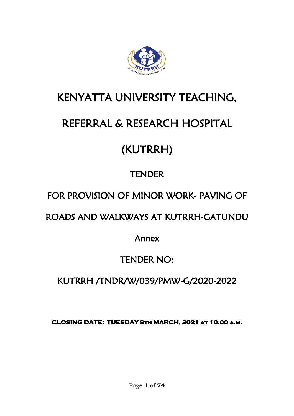

# KENYATTA UNIVERSITY TEACHING,

# REFERRAL & RESEARCH HOSPITAL

# (KUTRRH)

## **TENDER**

## FOR PROVISION OF MINOR WORK- PAVING OF

## ROADS AND WALKWAYS AT KUTRRH-GATUNDU

Annex

## TENDER NO:

## KUTRRH /TNDR/W/039/PMW-G/2020-2022

CLOSING DATE: TUESDAY 9TH MARCH, 2021 AT 10.00 A.M.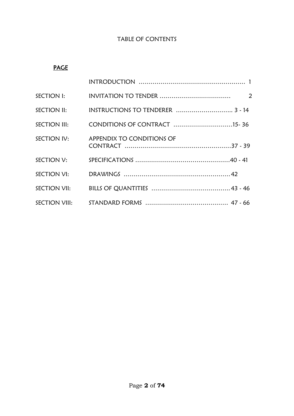## TABLE OF CONTENTS

## PAGE

| SECTION III: CONDITIONS OF CONTRACT 15-36 |  |
|-------------------------------------------|--|
| SECTION IV: APPENDIX TO CONDITIONS OF     |  |
|                                           |  |
|                                           |  |
|                                           |  |
|                                           |  |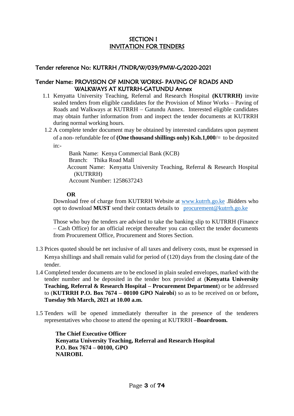#### SECTION I INVITATION FOR TENDERS

#### Tender reference No: KUTRRH /TNDR/W/039/PMW-G/2020-2021

#### Tender Name: PROVISION OF MINOR WORKS- PAVING OF ROADS AND WALKWAYS AT KUTRRH-GATUNDU Annex

- 1.1 Kenyatta University Teaching, Referral and Research Hospital **(KUTRRH)** invite sealed tenders from eligible candidates for the Provision of Minor Works – Paving of Roads and Walkways at KUTRRH – Gatundu Annex. Interested eligible candidates may obtain further information from and inspect the tender documents at KUTRRH during normal working hours.
- 1.2 A complete tender document may be obtained by interested candidates upon payment of a non- refundable fee of **(One thousand shillings only) Ksh.1,000**/= to be deposited in:-

Bank Name: Kenya Commercial Bank (KCB) Branch: Thika Road Mall Account Name: Kenyatta University Teaching, Referral & Research Hospital (KUTRRH) Account Number: 1258637243

#### **OR**

Download free of charge from KUTRRH Website at [www.kutrrh.go.ke](http://www.kutrrh.go.ke/) .Bidders who opt to download **MUST** send their contacts details to [procurement@kutrrh.go.ke](mailto:procurement@kutrrh.go.ke)

Those who buy the tenders are advised to take the banking slip to KUTRRH (Finance – Cash Office) for an official receipt thereafter you can collect the tender documents from Procurement Office, Procurement and Stores Section.

- 1.3 Prices quoted should be net inclusive of all taxes and delivery costs, must be expressed in Kenya shillings and shall remain valid for period of (120) days from the closing date of the tender.
- 1.4 Completed tender documents are to be enclosed in plain sealed envelopes, marked with the tender number and be deposited in the tender box provided at (**Kenyatta University Teaching, Referral & Research Hospital – Procurement Department**) or be addressed to (**KUTRRH P.O. Box 7674 – 00100 GPO Nairobi**) so as to be received on or before**, Tuesday 9th March, 2021 at 10.00 a.m.**
- 1.5 Tenders will be opened immediately thereafter in the presence of the tenderers representatives who choose to attend the opening at KUTRRH **–Boardroom.**

**The Chief Executive Officer Kenyatta University Teaching, Referral and Research Hospital P.O. Box 7674 – 00100, GPO NAIROBI.**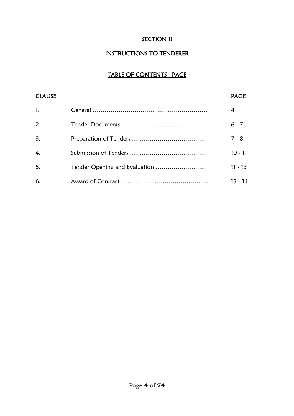## **SECTION II**

## INSTRUCTIONS TO TENDERER

## TABLE OF CONTENTS PAGE

| <b>CLAUSE</b>    |                               | <b>PAGE</b> |
|------------------|-------------------------------|-------------|
| 1.               |                               | 4           |
| 2.               |                               | $6 - 7$     |
| $\overline{3}$ . |                               | $7 - 8$     |
| $\overline{4}$ . |                               | $10 - 11$   |
| 5.               | Tender Opening and Evaluation | $11 - 13$   |
| 6.               |                               | $13 - 14$   |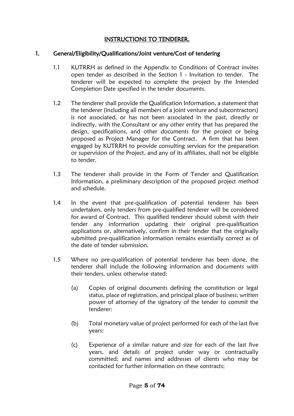## INSTRUCTIONS TO TENDERER.

#### 1. General/Eligibility/Qualifications/Joint venture/Cost of tendering

- 1.1 KUTRRH as defined in the Appendix to Conditions of Contract invites open tender as described in the Section 1 - Invitation to tender. The tenderer will be expected to complete the project by the Intended Completion Date specified in the tender documents.
- 1.2 The tenderer shall provide the Qualification Information, a statement that the tenderer (including all members of a joint venture and subcontractors) is not associated, or has not been associated in the past, directly or indirectly, with the Consultant or any other entity that has prepared the design, specifications, and other documents for the project or being proposed as Project Manager for the Contract. A firm that has been engaged by KUTRRH to provide consulting services for the preparation or supervision of the Project, and any of its affiliates, shall not be eligible to tender.
- 1.3 The tenderer shall provide in the Form of Tender and Qualification Information, a preliminary description of the proposed project method and schedule.
- 1.4 In the event that pre-qualification of potential tenderer has been undertaken, only tenders from pre-qualified tenderer will be considered for award of Contract. This qualified tenderer should submit with their tender any information updating their original pre-qualification applications or, alternatively, confirm in their tender that the originally submitted pre-qualification information remains essentially correct as of the date of tender submission.
- 1.5 Where no pre-qualification of potential tenderer has been done, the tenderer shall include the following information and documents with their tenders, unless otherwise stated:
	- (a) Copies of original documents defining the constitution or legal status, place of registration, and principal place of business; written power of attorney of the signatory of the tender to commit the tenderer:
	- (b) Total monetary value of project performed for each of the last five years:
	- (c) Experience of a similar nature and size for each of the last five years, and details of project under way or contractually committed; and names and addresses of clients who may be contacted for further information on these contracts;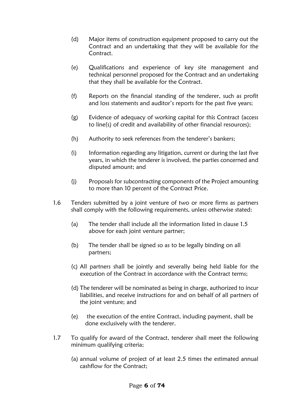- (d) Major items of construction equipment proposed to carry out the Contract and an undertaking that they will be available for the Contract.
- (e) Qualifications and experience of key site management and technical personnel proposed for the Contract and an undertaking that they shall be available for the Contract.
- (f) Reports on the financial standing of the tenderer, such as profit and loss statements and auditor's reports for the past five years;
- (g) Evidence of adequacy of working capital for this Contract (access to line(s) of credit and availability of other financial resources);
- (h) Authority to seek references from the tenderer's bankers;
- (i) Information regarding any litigation, current or during the last five years, in which the tenderer is involved, the parties concerned and disputed amount; and
- (j) Proposals for subcontracting components of the Project amounting to more than 10 percent of the Contract Price.
- 1.6 Tenders submitted by a joint venture of two or more firms as partners shall comply with the following requirements, unless otherwise stated:
	- (a) The tender shall include all the information listed in clause 1.5 above for each joint venture partner;
	- (b) The tender shall be signed so as to be legally binding on all partners;
	- (c) All partners shall be jointly and severally being held liable for the execution of the Contract in accordance with the Contract terms;
	- (d) The tenderer will be nominated as being in charge, authorized to incur liabilities, and receive instructions for and on behalf of all partners of the joint venture; and
	- (e) the execution of the entire Contract, including payment, shall be done exclusively with the tenderer.
- 1.7 To qualify for award of the Contract, tenderer shall meet the following minimum qualifying criteria;
	- (a) annual volume of project of at least 2.5 times the estimated annual cashflow for the Contract;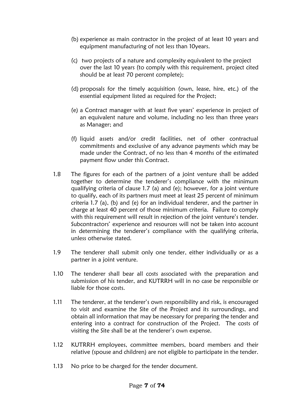- (b) experience as main contractor in the project of at least 10 years and equipment manufacturing of not less than 10years.
- (c) two projects of a nature and complexity equivalent to the project over the last 10 years (to comply with this requirement, project cited should be at least 70 percent complete);
- (d) proposals for the timely acquisition (own, lease, hire, etc.) of the essential equipment listed as required for the Project;
- (e) a Contract manager with at least five years' experience in project of an equivalent nature and volume, including no less than three years as Manager; and
- (f) liquid assets and/or credit facilities, net of other contractual commitments and exclusive of any advance payments which may be made under the Contract, of no less than 4 months of the estimated payment flow under this Contract.
- 1.8 The figures for each of the partners of a joint venture shall be added together to determine the tenderer's compliance with the minimum qualifying criteria of clause 1.7 (a) and (e); however, for a joint venture to qualify, each of its partners must meet at least 25 percent of minimum criteria 1.7 (a), (b) and (e) for an individual tenderer, and the partner in charge at least 40 percent of those minimum criteria. Failure to comply with this requirement will result in rejection of the joint venture's tender. Subcontractors' experience and resources will not be taken into account in determining the tenderer's compliance with the qualifying criteria, unless otherwise stated.
- 1.9 The tenderer shall submit only one tender, either individually or as a partner in a joint venture.
- 1.10 The tenderer shall bear all costs associated with the preparation and submission of his tender, and KUTRRH will in no case be responsible or liable for those costs.
- 1.11 The tenderer, at the tenderer's own responsibility and risk, is encouraged to visit and examine the Site of the Project and its surroundings, and obtain all information that may be necessary for preparing the tender and entering into a contract for construction of the Project. The costs of visiting the Site shall be at the tenderer's own expense.
- 1.12 KUTRRH employees, committee members, board members and their relative (spouse and children) are not eligible to participate in the tender.
- 1.13 No price to be charged for the tender document.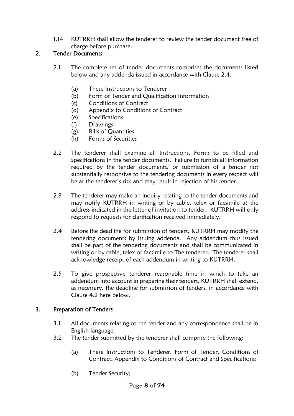1.14 KUTRRH shall allow the tenderer to review the tender document free of charge before purchase.

## 2. Tender Documents

- 2.1 The complete set of tender documents comprises the documents listed below and any addenda issued in accordance with Clause 2.4.
	- (a) These Instructions to Tenderer
	- (b) Form of Tender and Qualification Information
	- (c) Conditions of Contract
	- (d) Appendix to Conditions of Contract
	- (e) Specifications
	- (f) Drawings
	- (g) Bills of Quantities
	- (h) Forms of Securities
- 2.2 The tenderer shall examine all Instructions, Forms to be filled and Specifications in the tender documents. Failure to furnish all information required by the tender documents, or submission of a tender not substantially responsive to the tendering documents in every respect will be at the tenderer's risk and may result in rejection of his tender.
- 2.3 The tenderer may make an inquiry relating to the tender documents and may notify KUTRRH in writing or by cable, telex or facsimile at the address indicated in the letter of invitation to tender. KUTRRH will only respond to requests for clarification received immediately.
- 2.4 Before the deadline for submission of tenders, KUTRRH may modify the tendering documents by issuing addenda. Any addendum thus issued shall be part of the tendering documents and shall be communicated in writing or by cable, telex or facsimile to The tenderer. The tenderer shall acknowledge receipt of each addendum in writing to KUTRRH.
- 2.5 To give prospective tenderer reasonable time in which to take an addendum into account in preparing their tenders, KUTRRH shall extend, as necessary, the deadline for submission of tenders, in accordance with Clause 4.2 here below.

## 3. Preparation of Tenders

- 3.1 All documents relating to the tender and any correspondence shall be in English language.
- 3.2 The tender submitted by the tenderer shall comprise the following:
	- (a) These Instructions to Tenderer, Form of Tender, Conditions of Contract, Appendix to Conditions of Contract and Specifications;
	- (b) Tender Security;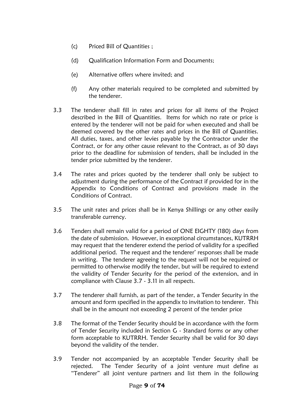- (c) Priced Bill of Quantities ;
- (d) Qualification Information Form and Documents;
- (e) Alternative offers where invited; and
- (f) Any other materials required to be completed and submitted by the tenderer.
- 3.3 The tenderer shall fill in rates and prices for all items of the Project described in the Bill of Quantities. Items for which no rate or price is entered by the tenderer will not be paid for when executed and shall be deemed covered by the other rates and prices in the Bill of Quantities. All duties, taxes, and other levies payable by the Contractor under the Contract, or for any other cause relevant to the Contract, as of 30 days prior to the deadline for submission of tenders, shall be included in the tender price submitted by the tenderer.
- 3.4 The rates and prices quoted by the tenderer shall only be subject to adjustment during the performance of the Contract if provided for in the Appendix to Conditions of Contract and provisions made in the Conditions of Contract.
- 3.5 The unit rates and prices shall be in Kenya Shillings or any other easily transferable currency.
- 3.6 Tenders shall remain valid for a period of ONE EIGHTY (180) days from the date of submission. However, in exceptional circumstances, KUTRRH may request that the tenderer extend the period of validity for a specified additional period. The request and the tenderer' responses shall be made in writing. The tenderer agreeing to the request will not be required or permitted to otherwise modify the tender, but will be required to extend the validity of Tender Security for the period of the extension, and in compliance with Clause 3.7 - 3.11 in all respects.
- 3.7 The tenderer shall furnish, as part of the tender, a Tender Security in the amount and form specified in the appendix to invitation to tenderer. This shall be in the amount not exceeding 2 percent of the tender price
- 3.8 The format of the Tender Security should be in accordance with the form of Tender Security included in Section G - Standard forms or any other form acceptable to KUTRRH. Tender Security shall be valid for 30 days beyond the validity of the tender.
- 3.9 Tender not accompanied by an acceptable Tender Security shall be rejected. The Tender Security of a joint venture must define as "Tenderer" all joint venture partners and list them in the following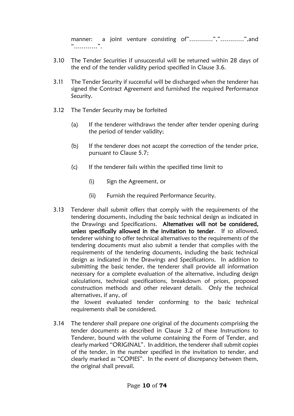manner: a joint venture consisting of"…………","…………",and "…………".

- 3.10 The Tender Securities if unsuccessful will be returned within 28 days of the end of the tender validity period specified in Clause 3.6.
- 3.11 The Tender Security if successful will be discharged when the tenderer has signed the Contract Agreement and furnished the required Performance Security.
- 3.12 The Tender Security may be forfeited
	- (a) If the tenderer withdraws the tender after tender opening during the period of tender validity;
	- (b) If the tenderer does not accept the correction of the tender price, pursuant to Clause 5.7;
	- (c) If the tenderer fails within the specified time limit to
		- (i) Sign the Agreement, or
		- (ii) Furnish the required Performance Security.
- 3.13 Tenderer shall submit offers that comply with the requirements of the tendering documents, including the basic technical design as indicated in the Drawings and Specifications. Alternatives will not be considered, unless specifically allowed in the invitation to tender. If so allowed, tenderer wishing to offer technical alternatives to the requirements of the tendering documents must also submit a tender that complies with the requirements of the tendering documents, including the basic technical design as indicated in the Drawings and Specifications. In addition to submitting the basic tender, the tenderer shall provide all information necessary for a complete evaluation of the alternative, including design calculations, technical specifications, breakdown of prices, proposed construction methods and other relevant details. Only the technical alternatives, if any, of

the lowest evaluated tender conforming to the basic technical requirements shall be considered.

3.14 The tenderer shall prepare one original of the documents comprising the tender documents as described in Clause 3.2 of these Instructions to Tenderer, bound with the volume containing the Form of Tender, and clearly marked "ORIGINAL". In addition, the tenderer shall submit copies of the tender, in the number specified in the invitation to tender, and clearly marked as "COPIES". In the event of discrepancy between them, the original shall prevail.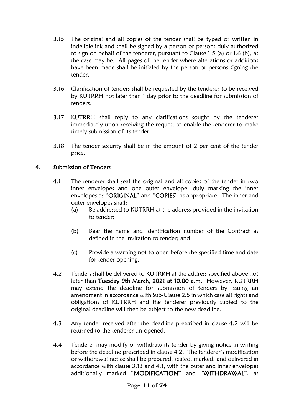- 3.15 The original and all copies of the tender shall be typed or written in indelible ink and shall be signed by a person or persons duly authorized to sign on behalf of the tenderer, pursuant to Clause 1.5 (a) or 1.6 (b), as the case may be. All pages of the tender where alterations or additions have been made shall be initialed by the person or persons signing the tender.
- 3.16 Clarification of tenders shall be requested by the tenderer to be received by KUTRRH not later than 1 day prior to the deadline for submission of tenders.
- 3.17 KUTRRH shall reply to any clarifications sought by the tenderer immediately upon receiving the request to enable the tenderer to make timely submission of its tender.
- 3.18 The tender security shall be in the amount of 2 per cent of the tender price.

#### 4. Submission of Tenders

- 4.1 The tenderer shall seal the original and all copies of the tender in two inner envelopes and one outer envelope, duly marking the inner envelopes as "ORIGINAL" and "COPIES" as appropriate. The inner and outer envelopes shall:
	- (a) Be addressed to KUTRRH at the address provided in the invitation to tender;
	- (b) Bear the name and identification number of the Contract as defined in the invitation to tender; and
	- (c) Provide a warning not to open before the specified time and date for tender opening.
- 4.2 Tenders shall be delivered to KUTRRH at the address specified above not later than Tuesday 9th March, 2021 at 10.00 a.m. However, KUTRRH may extend the deadline for submission of tenders by issuing an amendment in accordance with Sub-Clause 2.5 in which case all rights and obligations of KUTRRH and the tenderer previously subject to the original deadline will then be subject to the new deadline.
- 4.3 Any tender received after the deadline prescribed in clause 4.2 will be returned to the tenderer un-opened.
- 4.4 Tenderer may modify or withdraw its tender by giving notice in writing before the deadline prescribed in clause 4.2. The tenderer's modification or withdrawal notice shall be prepared, sealed, marked, and delivered in accordance with clause 3.13 and 4.1, with the outer and inner envelopes additionally marked "MODIFICATION" and "WITHDRAWAL", as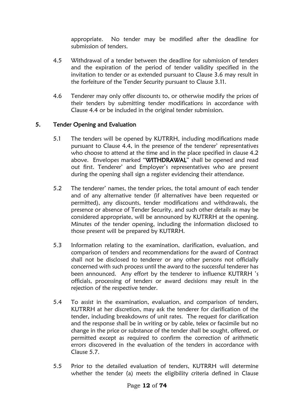appropriate. No tender may be modified after the deadline for submission of tenders.

- 4.5 Withdrawal of a tender between the deadline for submission of tenders and the expiration of the period of tender validity specified in the invitation to tender or as extended pursuant to Clause 3.6 may result in the forfeiture of the Tender Security pursuant to Clause 3.11.
- 4.6 Tenderer may only offer discounts to, or otherwise modify the prices of their tenders by submitting tender modifications in accordance with Clause 4.4 or be included in the original tender submission.

#### 5. Tender Opening and Evaluation

- 5.1 The tenders will be opened by KUTRRH, including modifications made pursuant to Clause 4.4, in the presence of the tenderer' representatives who choose to attend at the time and in the place specified in clause 4.2 above. Envelopes marked "WITHDRAWAL" shall be opened and read out first. Tenderer' and Employer's representatives who are present during the opening shall sign a register evidencing their attendance.
- 5.2 The tenderer' names, the tender prices, the total amount of each tender and of any alternative tender (if alternatives have been requested or permitted), any discounts, tender modifications and withdrawals, the presence or absence of Tender Security, and such other details as may be considered appropriate, will be announced by KUTRRH at the opening. Minutes of the tender opening, including the information disclosed to those present will be prepared by KUTRRH.
- 5.3 Information relating to the examination, clarification, evaluation, and comparison of tenders and recommendations for the award of Contract shall not be disclosed to tenderer or any other persons not officially concerned with such process until the award to the successful tenderer has been announced. Any effort by the tenderer to influence KUTRRH 's officials, processing of tenders or award decisions may result in the rejection of the respective tender.
- 5.4 To assist in the examination, evaluation, and comparison of tenders, KUTRRH at her discretion, may ask the tenderer for clarification of the tender, including breakdowns of unit rates. The request for clarification and the response shall be in writing or by cable, telex or facsimile but no change in the price or substance of the tender shall be sought, offered, or permitted except as required to confirm the correction of arithmetic errors discovered in the evaluation of the tenders in accordance with Clause 5.7.
- 5.5 Prior to the detailed evaluation of tenders, KUTRRH will determine whether the tender (a) meets the eligibility criteria defined in Clause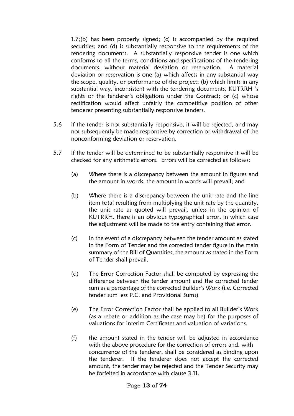1.7;(b) has been properly signed; (c) is accompanied by the required securities; and (d) is substantially responsive to the requirements of the tendering documents. A substantially responsive tender is one which conforms to all the terms, conditions and specifications of the tendering documents, without material deviation or reservation. A material deviation or reservation is one (a) which affects in any substantial way the scope, quality, or performance of the project; (b) which limits in any substantial way, inconsistent with the tendering documents, KUTRRH 's rights or the tenderer's obligations under the Contract; or (c) whose rectification would affect unfairly the competitive position of other tenderer presenting substantially responsive tenders.

- 5.6 If the tender is not substantially responsive, it will be rejected, and may not subsequently be made responsive by correction or withdrawal of the nonconforming deviation or reservation.
- 5.7 If the tender will be determined to be substantially responsive it will be checked for any arithmetic errors. Errors will be corrected as follows:
	- (a) Where there is a discrepancy between the amount in figures and the amount in words, the amount in words will prevail; and
	- (b) Where there is a discrepancy between the unit rate and the line item total resulting from multiplying the unit rate by the quantity, the unit rate as quoted will prevail, unless in the opinion of KUTRRH, there is an obvious typographical error, in which case the adjustment will be made to the entry containing that error.
	- (c) In the event of a discrepancy between the tender amount as stated in the Form of Tender and the corrected tender figure in the main summary of the Bill of Quantities, the amount as stated in the Form of Tender shall prevail.
	- (d) The Error Correction Factor shall be computed by expressing the difference between the tender amount and the corrected tender sum as a percentage of the corrected Builder's Work (i.e. Corrected tender sum less P.C. and Provisional Sums)
	- (e) The Error Correction Factor shall be applied to all Builder's Work (as a rebate or addition as the case may be) for the purposes of valuations for Interim Certificates and valuation of variations.
	- (f) the amount stated in the tender will be adjusted in accordance with the above procedure for the correction of errors and, with concurrence of the tenderer, shall be considered as binding upon the tenderer. If the tenderer does not accept the corrected amount, the tender may be rejected and the Tender Security may be forfeited in accordance with clause 3.11.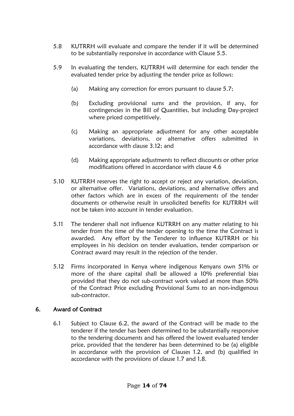- 5.8 KUTRRH will evaluate and compare the tender if it will be determined to be substantially responsive in accordance with Clause 5.5.
- 5.9 In evaluating the tenders, KUTRRH will determine for each tender the evaluated tender price by adjusting the tender price as follows:
	- (a) Making any correction for errors pursuant to clause 5.7;
	- (b) Excluding provisional sums and the provision, if any, for contingencies in the Bill of Quantities, but including Day-project where priced competitively.
	- (c) Making an appropriate adjustment for any other acceptable variations, deviations, or alternative offers submitted in accordance with clause 3.12; and
	- (d) Making appropriate adjustments to reflect discounts or other price modifications offered in accordance with clause 4.6
- 5.10 KUTRRH reserves the right to accept or reject any variation, deviation, or alternative offer. Variations, deviations, and alternative offers and other factors which are in excess of the requirements of the tender documents or otherwise result in unsolicited benefits for KUTRRH will not be taken into account in tender evaluation.
- 5.11 The tenderer shall not influence KUTRRH on any matter relating to his tender from the time of the tender opening to the time the Contract is awarded. Any effort by the Tenderer to influence KUTRRH or his employees in his decision on tender evaluation, tender comparison or Contract award may result in the rejection of the tender.
- 5.12 Firms incorporated in Kenya where indigenous Kenyans own 51% or more of the share capital shall be allowed a 10% preferential bias provided that they do not sub-contract work valued at more than 50% of the Contract Price excluding Provisional Sums to an non-indigenous sub-contractor.

## 6. Award of Contract

6.1 Subject to Clause 6.2, the award of the Contract will be made to the tenderer if the tender has been determined to be substantially responsive to the tendering documents and has offered the lowest evaluated tender price, provided that the tenderer has been determined to be (a) eligible in accordance with the provision of Clauses 1.2, and (b) qualified in accordance with the provisions of clause 1.7 and 1.8.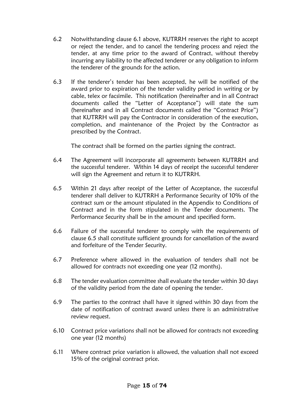- 6.2 Notwithstanding clause 6.1 above, KUTRRH reserves the right to accept or reject the tender, and to cancel the tendering process and reject the tender, at any time prior to the award of Contract, without thereby incurring any liability to the affected tenderer or any obligation to inform the tenderer of the grounds for the action.
- 6.3 If the tenderer's tender has been accepted, he will be notified of the award prior to expiration of the tender validity period in writing or by cable, telex or facsimile. This notification (hereinafter and in all Contract documents called the "Letter of Acceptance") will state the sum (hereinafter and in all Contract documents called the "Contract Price") that KUTRRH will pay the Contractor in consideration of the execution, completion, and maintenance of the Project by the Contractor as prescribed by the Contract.

The contract shall be formed on the parties signing the contract.

- 6.4 The Agreement will incorporate all agreements between KUTRRH and the successful tenderer. Within 14 days of receipt the successful tenderer will sign the Agreement and return it to KUTRRH.
- 6.5 Within 21 days after receipt of the Letter of Acceptance, the successful tenderer shall deliver to KUTRRH a Performance Security of 10% of the contract sum or the amount stipulated in the Appendix to Conditions of Contract and in the form stipulated in the Tender documents. The Performance Security shall be in the amount and specified form.
- 6.6 Failure of the successful tenderer to comply with the requirements of clause 6.5 shall constitute sufficient grounds for cancellation of the award and forfeiture of the Tender Security.
- 6.7 Preference where allowed in the evaluation of tenders shall not be allowed for contracts not exceeding one year (12 months).
- 6.8 The tender evaluation committee shall evaluate the tender within 30 days of the validity period from the date of opening the tender.
- 6.9 The parties to the contract shall have it signed within 30 days from the date of notification of contract award unless there is an administrative review request.
- 6.10 Contract price variations shall not be allowed for contracts not exceeding one year (12 months)
- 6.11 Where contract price variation is allowed, the valuation shall not exceed 15% of the original contract price.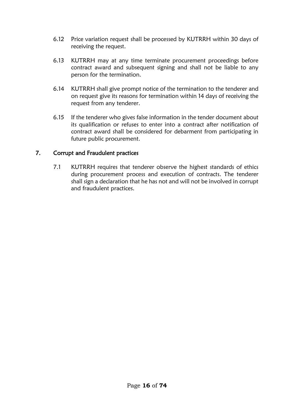- 6.12 Price variation request shall be processed by KUTRRH within 30 days of receiving the request.
- 6.13 KUTRRH may at any time terminate procurement proceedings before contract award and subsequent signing and shall not be liable to any person for the termination.
- 6.14 KUTRRH shall give prompt notice of the termination to the tenderer and on request give its reasons for termination within 14 days of receiving the request from any tenderer.
- 6.15 If the tenderer who gives false information in the tender document about its qualification or refuses to enter into a contract after notification of contract award shall be considered for debarment from participating in future public procurement.

#### 7. Corrupt and Fraudulent practices

7.1 KUTRRH requires that tenderer observe the highest standards of ethics during procurement process and execution of contracts. The tenderer shall sign a declaration that he has not and will not be involved in corrupt and fraudulent practices.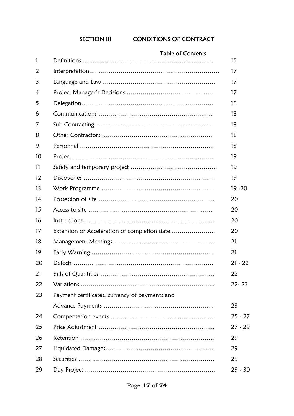## SECTION III CONDITIONS OF CONTRACT

# Table of Contents Definitions ………………………………………………………… 15 Interpretation………………………………………………………… 17

| 3  |                                                | 17        |
|----|------------------------------------------------|-----------|
| 4  |                                                | 17        |
| 5  |                                                | 18        |
| 6  |                                                | 18        |
| 7  |                                                | 18        |
| 8  |                                                | 18        |
| 9  |                                                | 18        |
| 10 |                                                | 19        |
| 11 |                                                | 19        |
| 12 |                                                | 19        |
| 13 |                                                | $19 - 20$ |
| 14 |                                                | 20        |
| 15 |                                                | 20        |
| 16 |                                                | 20        |
| 17 | Extension or Acceleration of completion date   | 20        |
| 18 |                                                | 21        |
| 19 |                                                | 21        |
| 20 |                                                | $21 - 22$ |
| 21 |                                                | 22        |
| 22 |                                                | $22 - 23$ |
| 23 | Payment certificates, currency of payments and |           |
|    |                                                | 23        |
| 24 |                                                | $25 - 27$ |
| 25 |                                                | $27 - 29$ |
| 26 |                                                | 29        |
| 27 |                                                | 29        |
| 28 |                                                | 29        |
| 29 |                                                | 29 - 30   |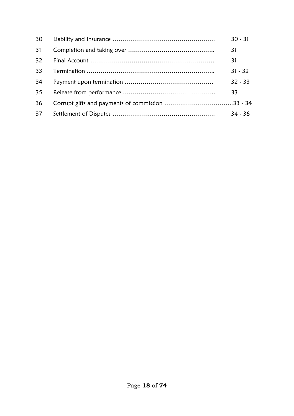| 30 | $30 - 31$ |
|----|-----------|
| 31 | 31        |
| 32 | 31        |
| 33 | $31 - 32$ |
| 34 | $32 - 33$ |
| 35 | 33        |
| 36 |           |
| 37 | $34 - 36$ |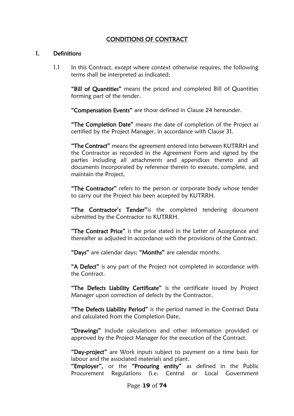## CONDITIONS OF CONTRACT

#### 1. Definitions

1.1 In this Contract, except where context otherwise requires, the following terms shall be interpreted as indicated;

"Bill of Quantities" means the priced and completed Bill of Quantities forming part of the tender.

"Compensation Events" are those defined in Clause 24 hereunder.

"The Completion Date" means the date of completion of the Project as certified by the Project Manager, in accordance with Clause 31.

"The Contract" means the agreement entered into between KUTRRH and the Contractor as recorded in the Agreement Form and signed by the parties including all attachments and appendices thereto and all documents incorporated by reference therein to execute, complete, and maintain the Project,

"The Contractor" refers to the person or corporate body whose tender to carry out the Project has been accepted by KUTRRH.

"The Contractor's Tender" is the completed tendering document submitted by the Contractor to KUTRRH.

"The Contract Price" is the price stated in the Letter of Acceptance and thereafter as adjusted in accordance with the provisions of the Contract.

"Days" are calendar days; "Months" are calendar months.

"A Defect" is any part of the Project not completed in accordance with the Contract.

"The Defects Liability Certificate" is the certificate issued by Project Manager upon correction of defects by the Contractor.

"The Defects Liability Period" is the period named in the Contract Data and calculated from the Completion Date.

"Drawings" include calculations and other information provided or approved by the Project Manager for the execution of the Contract.

"Day-project" are Work inputs subject to payment on a time basis for labour and the associated materials and plant.

"Employer", or the "Procuring entity" as defined in the Public Procurement Regulations (i.e. Central or Local Government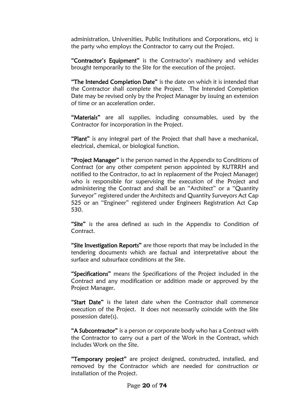administration, Universities, Public Institutions and Corporations, etc) is the party who employs the Contractor to carry out the Project.

"Contractor's Equipment" is the Contractor's machinery and vehicles brought temporarily to the Site for the execution of the project.

"The Intended Completion Date" is the date on which it is intended that the Contractor shall complete the Project. The Intended Completion Date may be revised only by the Project Manager by issuing an extension of time or an acceleration order.

"Materials" are all supplies, including consumables, used by the Contractor for incorporation in the Project.

"Plant" is any integral part of the Project that shall have a mechanical, electrical, chemical, or biological function.

"Project Manager" is the person named in the Appendix to Conditions of Contract (or any other competent person appointed by KUTRRH and notified to the Contractor, to act in replacement of the Project Manager) who is responsible for supervising the execution of the Project and administering the Contract and shall be an "Architect" or a "Quantity Surveyor" registered under the Architects and Quantity Surveyors Act Cap 525 or an "Engineer" registered under Engineers Registration Act Cap 530.

"Site" is the area defined as such in the Appendix to Condition of Contract.

"Site Investigation Reports" are those reports that may be included in the tendering documents which are factual and interpretative about the surface and subsurface conditions at the Site.

"Specifications" means the Specifications of the Project included in the Contract and any modification or addition made or approved by the Project Manager.

"Start Date" is the latest date when the Contractor shall commence execution of the Project. It does not necessarily coincide with the Site possession date(s).

"A Subcontractor" is a person or corporate body who has a Contract with the Contractor to carry out a part of the Work in the Contract, which includes Work on the Site.

"Temporary project" are project designed, constructed, installed, and removed by the Contractor which are needed for construction or installation of the Project.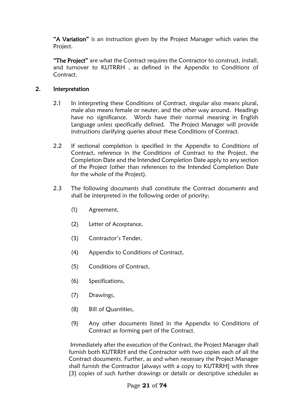"A Variation" is an instruction given by the Project Manager which varies the Project.

"The Project" are what the Contract requires the Contractor to construct, install, and turnover to KUTRRH , as defined in the Appendix to Conditions of Contract.

## 2. Interpretation

- 2.1 In interpreting these Conditions of Contract, singular also means plural, male also means female or neuter, and the other way around. Headings have no significance. Words have their normal meaning in English Language unless specifically defined. The Project Manager will provide instructions clarifying queries about these Conditions of Contract.
- 2.2 If sectional completion is specified in the Appendix to Conditions of Contract, reference in the Conditions of Contract to the Project, the Completion Date and the Intended Completion Date apply to any section of the Project (other than references to the Intended Completion Date for the whole of the Project).
- 2.3 The following documents shall constitute the Contract documents and shall be interpreted in the following order of priority;
	- (1) Agreement,
	- (2) Letter of Acceptance,
	- (3) Contractor's Tender,
	- (4) Appendix to Conditions of Contract,
	- (5) Conditions of Contract,
	- (6) Specifications,
	- (7) Drawings,
	- (8) Bill of Quantities,
	- (9) Any other documents listed in the Appendix to Conditions of Contract as forming part of the Contract.

 Immediately after the execution of the Contract, the Project Manager shall furnish both KUTRRH and the Contractor with two copies each of all the Contract documents. Further, as and when necessary the Project Manager shall furnish the Contractor [always with a copy to KUTRRH] with three [3] copies of such further drawings or details or descriptive schedules as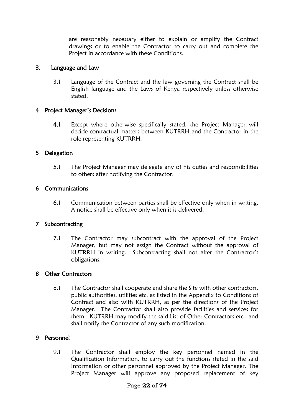are reasonably necessary either to explain or amplify the Contract drawings or to enable the Contractor to carry out and complete the Project in accordance with these Conditions.

#### 3. Language and Law

3.1 Language of the Contract and the law governing the Contract shall be English language and the Laws of Kenya respectively unless otherwise stated.

#### 4 Project Manager's Decisions

4.1 Except where otherwise specifically stated, the Project Manager will decide contractual matters between KUTRRH and the Contractor in the role representing KUTRRH.

#### 5 Delegation

5.1 The Project Manager may delegate any of his duties and responsibilities to others after notifying the Contractor.

#### 6 Communications

6.1 Communication between parties shall be effective only when in writing. A notice shall be effective only when it is delivered.

#### 7 Subcontracting

7.1 The Contractor may subcontract with the approval of the Project Manager, but may not assign the Contract without the approval of KUTRRH in writing. Subcontracting shall not alter the Contractor's obligations.

#### 8 Other Contractors

8.1 The Contractor shall cooperate and share the Site with other contractors, public authorities, utilities etc. as listed in the Appendix to Conditions of Contract and also with KUTRRH, as per the directions of the Project Manager. The Contractor shall also provide facilities and services for them. KUTRRH may modify the said List of Other Contractors etc., and shall notify the Contractor of any such modification.

## 9 Personnel

9.1 The Contractor shall employ the key personnel named in the Qualification Information, to carry out the functions stated in the said Information or other personnel approved by the Project Manager. The Project Manager will approve any proposed replacement of key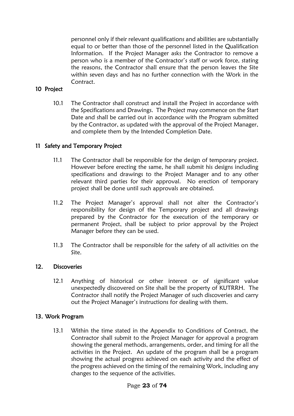personnel only if their relevant qualifications and abilities are substantially equal to or better than those of the personnel listed in the Qualification Information. If the Project Manager asks the Contractor to remove a person who is a member of the Contractor's staff or work force, stating the reasons, the Contractor shall ensure that the person leaves the Site within seven days and has no further connection with the Work in the Contract.

#### 10 Project

10.1 The Contractor shall construct and install the Project in accordance with the Specifications and Drawings. The Project may commence on the Start Date and shall be carried out in accordance with the Program submitted by the Contractor, as updated with the approval of the Project Manager, and complete them by the Intended Completion Date.

#### 11 Safety and Temporary Project

- 11.1 The Contractor shall be responsible for the design of temporary project. However before erecting the same, he shall submit his designs including specifications and drawings to the Project Manager and to any other relevant third parties for their approval. No erection of temporary project shall be done until such approvals are obtained.
- 11.2 The Project Manager's approval shall not alter the Contractor's responsibility for design of the Temporary project and all drawings prepared by the Contractor for the execution of the temporary or permanent Project, shall be subject to prior approval by the Project Manager before they can be used.
- 11.3 The Contractor shall be responsible for the safety of all activities on the Site.

#### 12. Discoveries

12.1 Anything of historical or other interest or of significant value unexpectedly discovered on Site shall be the property of KUTRRH. The Contractor shall notify the Project Manager of such discoveries and carry out the Project Manager's instructions for dealing with them.

#### 13. Work Program

13.1 Within the time stated in the Appendix to Conditions of Contract, the Contractor shall submit to the Project Manager for approval a program showing the general methods, arrangements, order, and timing for all the activities in the Project. An update of the program shall be a program showing the actual progress achieved on each activity and the effect of the progress achieved on the timing of the remaining Work, including any changes to the sequence of the activities.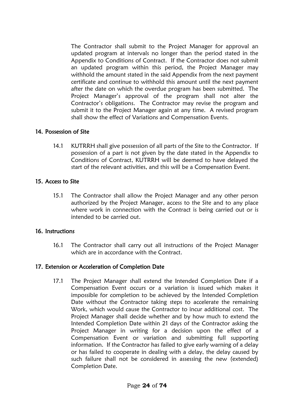The Contractor shall submit to the Project Manager for approval an updated program at intervals no longer than the period stated in the Appendix to Conditions of Contract. If the Contractor does not submit an updated program within this period, the Project Manager may withhold the amount stated in the said Appendix from the next payment certificate and continue to withhold this amount until the next payment after the date on which the overdue program has been submitted. The Project Manager's approval of the program shall not alter the Contractor's obligations. The Contractor may revise the program and submit it to the Project Manager again at any time. A revised program shall show the effect of Variations and Compensation Events.

## 14. Possession of Site

14.1 KUTRRH shall give possession of all parts of the Site to the Contractor. If possession of a part is not given by the date stated in the Appendix to Conditions of Contract, KUTRRH will be deemed to have delayed the start of the relevant activities, and this will be a Compensation Event.

## 15. Access to Site

15.1 The Contractor shall allow the Project Manager and any other person authorized by the Project Manager, access to the Site and to any place where work in connection with the Contract is being carried out or is intended to be carried out.

## 16. Instructions

16.1 The Contractor shall carry out all instructions of the Project Manager which are in accordance with the Contract.

## 17. Extension or Acceleration of Completion Date

17.1 The Project Manager shall extend the Intended Completion Date if a Compensation Event occurs or a variation is issued which makes it impossible for completion to be achieved by the Intended Completion Date without the Contractor taking steps to accelerate the remaining Work, which would cause the Contractor to incur additional cost. The Project Manager shall decide whether and by how much to extend the Intended Completion Date within 21 days of the Contractor asking the Project Manager in writing for a decision upon the effect of a Compensation Event or variation and submitting full supporting information. If the Contractor has failed to give early warning of a delay or has failed to cooperate in dealing with a delay, the delay caused by such failure shall not be considered in assessing the new (extended) Completion Date.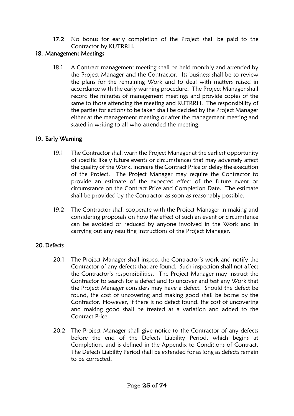17.2 No bonus for early completion of the Project shall be paid to the Contractor by KUTRRH.

## 18. Management Meetings

18.1 A Contract management meeting shall be held monthly and attended by the Project Manager and the Contractor. Its business shall be to review the plans for the remaining Work and to deal with matters raised in accordance with the early warning procedure. The Project Manager shall record the minutes of management meetings and provide copies of the same to those attending the meeting and KUTRRH. The responsibility of the parties for actions to be taken shall be decided by the Project Manager either at the management meeting or after the management meeting and stated in writing to all who attended the meeting.

## 19. Early Warning

- 19.1 The Contractor shall warn the Project Manager at the earliest opportunity of specific likely future events or circumstances that may adversely affect the quality of the Work, increase the Contract Price or delay the execution of the Project. The Project Manager may require the Contractor to provide an estimate of the expected effect of the future event or circumstance on the Contract Price and Completion Date. The estimate shall be provided by the Contractor as soon as reasonably possible.
- 19.2 The Contractor shall cooperate with the Project Manager in making and considering proposals on how the effect of such an event or circumstance can be avoided or reduced by anyone involved in the Work and in carrying out any resulting instructions of the Project Manager.

## 20. Defects

- 20.1 The Project Manager shall inspect the Contractor's work and notify the Contractor of any defects that are found. Such inspection shall not affect the Contractor's responsibilities. The Project Manager may instruct the Contractor to search for a defect and to uncover and test any Work that the Project Manager considers may have a defect. Should the defect be found, the cost of uncovering and making good shall be borne by the Contractor, However, if there is no defect found, the cost of uncovering and making good shall be treated as a variation and added to the Contract Price.
- 20.2 The Project Manager shall give notice to the Contractor of any defects before the end of the Defects Liability Period, which begins at Completion, and is defined in the Appendix to Conditions of Contract. The Defects Liability Period shall be extended for as long as defects remain to be corrected.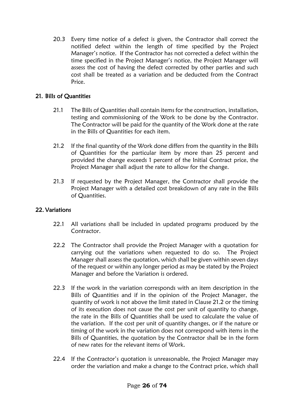20.3 Every time notice of a defect is given, the Contractor shall correct the notified defect within the length of time specified by the Project Manager's notice. If the Contractor has not corrected a defect within the time specified in the Project Manager's notice, the Project Manager will assess the cost of having the defect corrected by other parties and such cost shall be treated as a variation and be deducted from the Contract Price.

## 21. Bills of Quantities

- 21.1 The Bills of Quantities shall contain items for the construction, installation, testing and commissioning of the Work to be done by the Contractor. The Contractor will be paid for the quantity of the Work done at the rate in the Bills of Quantities for each item.
- 21.2 If the final quantity of the Work done differs from the quantity in the Bills of Quantities for the particular item by more than 25 percent and provided the change exceeds 1 percent of the Initial Contract price, the Project Manager shall adjust the rate to allow for the change.
- 21.3 If requested by the Project Manager, the Contractor shall provide the Project Manager with a detailed cost breakdown of any rate in the Bills of Quantities.

## 22. Variations

- 22.1 All variations shall be included in updated programs produced by the Contractor.
- 22.2 The Contractor shall provide the Project Manager with a quotation for carrying out the variations when requested to do so. The Project Manager shall assess the quotation, which shall be given within seven days of the request or within any longer period as may be stated by the Project Manager and before the Variation is ordered.
- 22.3 If the work in the variation corresponds with an item description in the Bills of Quantities and if in the opinion of the Project Manager, the quantity of work is not above the limit stated in Clause 21.2 or the timing of its execution does not cause the cost per unit of quantity to change, the rate in the Bills of Quantities shall be used to calculate the value of the variation. If the cost per unit of quantity changes, or if the nature or timing of the work in the variation does not correspond with items in the Bills of Quantities, the quotation by the Contractor shall be in the form of new rates for the relevant items of Work.
- 22.4 If the Contractor's quotation is unreasonable, the Project Manager may order the variation and make a change to the Contract price, which shall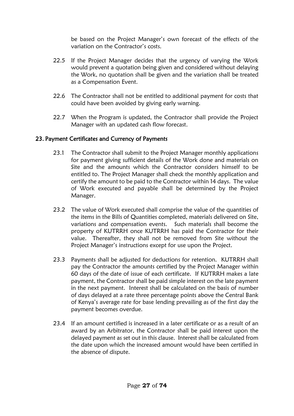be based on the Project Manager's own forecast of the effects of the variation on the Contractor's costs.

- 22.5 If the Project Manager decides that the urgency of varying the Work would prevent a quotation being given and considered without delaying the Work, no quotation shall be given and the variation shall be treated as a Compensation Event.
- 22.6 The Contractor shall not be entitled to additional payment for costs that could have been avoided by giving early warning.
- 22.7 When the Program is updated, the Contractor shall provide the Project Manager with an updated cash flow forecast.

#### 23. Payment Certificates and Currency of Payments

- 23.1 The Contractor shall submit to the Project Manager monthly applications for payment giving sufficient details of the Work done and materials on Site and the amounts which the Contractor considers himself to be entitled to. The Project Manager shall check the monthly application and certify the amount to be paid to the Contractor within 14 days. The value of Work executed and payable shall be determined by the Project Manager.
- 23.2 The value of Work executed shall comprise the value of the quantities of the items in the Bills of Quantities completed, materials delivered on Site, variations and compensation events. Such materials shall become the property of KUTRRH once KUTRRH has paid the Contractor for their value. Thereafter, they shall not be removed from Site without the Project Manager's instructions except for use upon the Project.
- 23.3 Payments shall be adjusted for deductions for retention. KUTRRH shall pay the Contractor the amounts certified by the Project Manager within 60 days of the date of issue of each certificate. If KUTRRH makes a late payment, the Contractor shall be paid simple interest on the late payment in the next payment. Interest shall be calculated on the basis of number of days delayed at a rate three percentage points above the Central Bank of Kenya's average rate for base lending prevailing as of the first day the payment becomes overdue.
- 23.4 If an amount certified is increased in a later certificate or as a result of an award by an Arbitrator, the Contractor shall be paid interest upon the delayed payment as set out in this clause. Interest shall be calculated from the date upon which the increased amount would have been certified in the absence of dispute.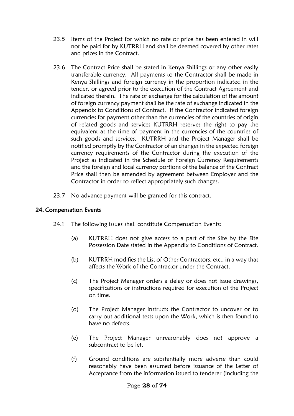- 23.5 Items of the Project for which no rate or price has been entered in will not be paid for by KUTRRH and shall be deemed covered by other rates and prices in the Contract.
- 23.6 The Contract Price shall be stated in Kenya Shillings or any other easily transferable currency. All payments to the Contractor shall be made in Kenya Shillings and foreign currency in the proportion indicated in the tender, or agreed prior to the execution of the Contract Agreement and indicated therein. The rate of exchange for the calculation of the amount of foreign currency payment shall be the rate of exchange indicated in the Appendix to Conditions of Contract. If the Contractor indicated foreign currencies for payment other than the currencies of the countries of origin of related goods and services KUTRRH reserves the right to pay the equivalent at the time of payment in the currencies of the countries of such goods and services. KUTRRH and the Project Manager shall be notified promptly by the Contractor of an changes in the expected foreign currency requirements of the Contractor during the execution of the Project as indicated in the Schedule of Foreign Currency Requirements and the foreign and local currency portions of the balance of the Contract Price shall then be amended by agreement between Employer and the Contractor in order to reflect appropriately such changes.
- 23.7 No advance payment will be granted for this contract.

## 24. Compensation Events

- 24.1 The following issues shall constitute Compensation Events:
	- (a) KUTRRH does not give access to a part of the Site by the Site Possession Date stated in the Appendix to Conditions of Contract.
	- (b) KUTRRH modifies the List of Other Contractors, etc., in a way that affects the Work of the Contractor under the Contract.
	- (c) The Project Manager orders a delay or does not issue drawings, specifications or instructions required for execution of the Project on time.
	- (d) The Project Manager instructs the Contractor to uncover or to carry out additional tests upon the Work, which is then found to have no defects.
	- (e) The Project Manager unreasonably does not approve a subcontract to be let.
	- (f) Ground conditions are substantially more adverse than could reasonably have been assumed before issuance of the Letter of Acceptance from the information issued to tenderer (including the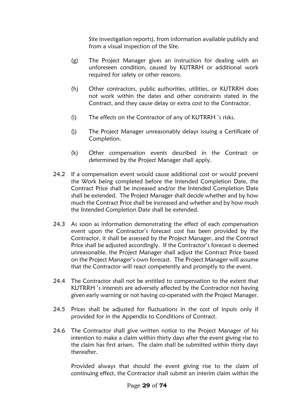Site investigation reports), from information available publicly and from a visual inspection of the Site.

- (g) The Project Manager gives an instruction for dealing with an unforeseen condition, caused by KUTRRH or additional work required for safety or other reasons.
- (h) Other contractors, public authorities, utilities, or KUTRRH does not work within the dates and other constraints stated in the Contract, and they cause delay or extra cost to the Contractor.
- (i) The effects on the Contractor of any of KUTRRH 's risks.
- (j) The Project Manager unreasonably delays issuing a Certificate of Completion.
- (k) Other compensation events described in the Contract or determined by the Project Manager shall apply.
- 24.2 If a compensation event would cause additional cost or would prevent the Work being completed before the Intended Completion Date, the Contract Price shall be increased and/or the Intended Completion Date shall be extended. The Project Manager shall decide whether and by how much the Contract Price shall be increased and whether and by how much the Intended Completion Date shall be extended.
- 24.3 As soon as information demonstrating the effect of each compensation event upon the Contractor's forecast cost has been provided by the Contractor, it shall be assessed by the Project Manager, and the Contract Price shall be adjusted accordingly. If the Contractor's forecast is deemed unreasonable, the Project Manager shall adjust the Contract Price based on the Project Manager's own forecast. The Project Manager will assume that the Contractor will react competently and promptly to the event.
- 24.4 The Contractor shall not be entitled to compensation to the extent that KUTRRH 's interests are adversely affected by the Contractor not having given early warning or not having co-operated with the Project Manager.
- 24.5 Prices shall be adjusted for fluctuations in the cost of inputs only if provided for in the Appendix to Conditions of Contract.
- 24.6 The Contractor shall give written notice to the Project Manager of his intention to make a claim within thirty days after the event giving rise to the claim has first arisen. The claim shall be submitted within thirty days thereafter.

Provided always that should the event giving rise to the claim of continuing effect, the Contractor shall submit an interim claim within the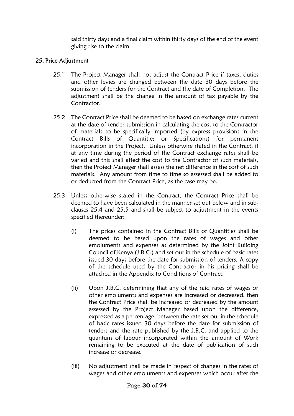said thirty days and a final claim within thirty days of the end of the event giving rise to the claim.

## 25. Price Adjustment

- 25.1 The Project Manager shall not adjust the Contract Price if taxes, duties and other levies are changed between the date 30 days before the submission of tenders for the Contract and the date of Completion. The adjustment shall be the change in the amount of tax payable by the Contractor.
- 25.2 The Contract Price shall be deemed to be based on exchange rates current at the date of tender submission in calculating the cost to the Contractor of materials to be specifically imported (by express provisions in the Contract Bills of Quantities or Specifications) for permanent incorporation in the Project. Unless otherwise stated in the Contract, if at any time during the period of the Contract exchange rates shall be varied and this shall affect the cost to the Contractor of such materials, then the Project Manager shall assess the net difference in the cost of such materials. Any amount from time to time so assessed shall be added to or deducted from the Contract Price, as the case may be.
- 25.3 Unless otherwise stated in the Contract, the Contract Price shall be deemed to have been calculated in the manner set out below and in subclauses 25.4 and 25.5 and shall be subject to adjustment in the events specified thereunder;
	- (i) The prices contained in the Contract Bills of Quantities shall be deemed to be based upon the rates of wages and other emoluments and expenses as determined by the Joint Building Council of Kenya (J.B.C.) and set out in the schedule of basic rates issued 30 days before the date for submission of tenders. A copy of the schedule used by the Contractor in his pricing shall be attached in the Appendix to Conditions of Contract.
	- (ii) Upon J.B.C. determining that any of the said rates of wages or other emoluments and expenses are increased or decreased, then the Contract Price shall be increased or decreased by the amount assessed by the Project Manager based upon the difference, expressed as a percentage, between the rate set out in the schedule of basic rates issued 30 days before the date for submission of tenders and the rate published by the J.B.C. and applied to the quantum of labour incorporated within the amount of Work remaining to be executed at the date of publication of such increase or decrease.
	- (iii) No adjustment shall be made in respect of changes in the rates of wages and other emoluments and expenses which occur after the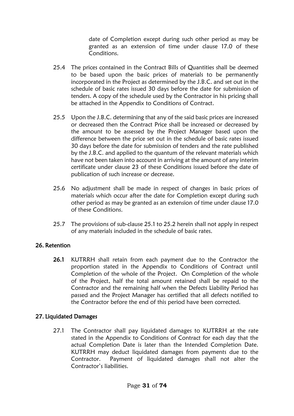date of Completion except during such other period as may be granted as an extension of time under clause 17.0 of these Conditions.

- 25.4 The prices contained in the Contract Bills of Quantities shall be deemed to be based upon the basic prices of materials to be permanently incorporated in the Project as determined by the J.B.C. and set out in the schedule of basic rates issued 30 days before the date for submission of tenders. A copy of the schedule used by the Contractor in his pricing shall be attached in the Appendix to Conditions of Contract.
- 25.5 Upon the J.B.C. determining that any of the said basic prices are increased or decreased then the Contract Price shall be increased or decreased by the amount to be assessed by the Project Manager based upon the difference between the price set out in the schedule of basic rates issued 30 days before the date for submission of tenders and the rate published by the J.B.C. and applied to the quantum of the relevant materials which have not been taken into account in arriving at the amount of any interim certificate under clause 23 of these Conditions issued before the date of publication of such increase or decrease.
- 25.6 No adjustment shall be made in respect of changes in basic prices of materials which occur after the date for Completion except during such other period as may be granted as an extension of time under clause 17.0 of these Conditions.
- 25.7 The provisions of sub-clause 25.1 to 25.2 herein shall not apply in respect of any materials included in the schedule of basic rates.

## 26. Retention

26.1 KUTRRH shall retain from each payment due to the Contractor the proportion stated in the Appendix to Conditions of Contract until Completion of the whole of the Project. On Completion of the whole of the Project, half the total amount retained shall be repaid to the Contractor and the remaining half when the Defects Liability Period has passed and the Project Manager has certified that all defects notified to the Contractor before the end of this period have been corrected.

#### 27. Liquidated Damages

27.1 The Contractor shall pay liquidated damages to KUTRRH at the rate stated in the Appendix to Conditions of Contract for each day that the actual Completion Date is later than the Intended Completion Date. KUTRRH may deduct liquidated damages from payments due to the Contractor. Payment of liquidated damages shall not alter the Contractor's liabilities.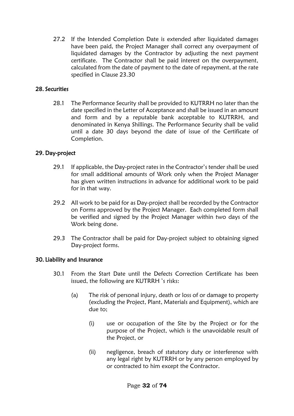27.2 If the Intended Completion Date is extended after liquidated damages have been paid, the Project Manager shall correct any overpayment of liquidated damages by the Contractor by adjusting the next payment certificate. The Contractor shall be paid interest on the overpayment, calculated from the date of payment to the date of repayment, at the rate specified in Clause 23.30

#### 28. Securities

28.1 The Performance Security shall be provided to KUTRRH no later than the date specified in the Letter of Acceptance and shall be issued in an amount and form and by a reputable bank acceptable to KUTRRH, and denominated in Kenya Shillings. The Performance Security shall be valid until a date 30 days beyond the date of issue of the Certificate of Completion.

#### 29. Day-project

- 29.1 If applicable, the Day-project rates in the Contractor's tender shall be used for small additional amounts of Work only when the Project Manager has given written instructions in advance for additional work to be paid for in that way.
- 29.2 All work to be paid for as Day-project shall be recorded by the Contractor on Forms approved by the Project Manager. Each completed form shall be verified and signed by the Project Manager within two days of the Work being done.
- 29.3 The Contractor shall be paid for Day-project subject to obtaining signed Day-project forms.

#### 30. Liability and Insurance

- 30.1 From the Start Date until the Defects Correction Certificate has been issued, the following are KUTRRH 's risks:
	- (a) The risk of personal injury, death or loss of or damage to property (excluding the Project, Plant, Materials and Equipment), which are due to;
		- (i) use or occupation of the Site by the Project or for the purpose of the Project, which is the unavoidable result of the Project, or
		- (ii) negligence, breach of statutory duty or interference with any legal right by KUTRRH or by any person employed by or contracted to him except the Contractor.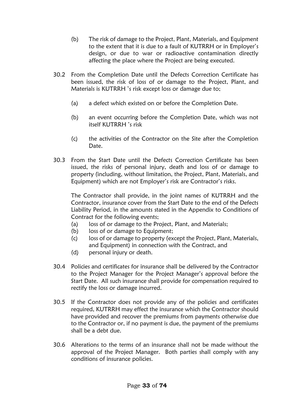- (b) The risk of damage to the Project, Plant, Materials, and Equipment to the extent that it is due to a fault of KUTRRH or in Employer's design, or due to war or radioactive contamination directly affecting the place where the Project are being executed.
- 30.2 From the Completion Date until the Defects Correction Certificate has been issued, the risk of loss of or damage to the Project, Plant, and Materials is KUTRRH 's risk except loss or damage due to;
	- (a) a defect which existed on or before the Completion Date.
	- (b) an event occurring before the Completion Date, which was not itself KUTRRH 's risk
	- (c) the activities of the Contractor on the Site after the Completion Date.
- 30.3 From the Start Date until the Defects Correction Certificate has been issued, the risks of personal injury, death and loss of or damage to property (including, without limitation, the Project, Plant, Materials, and Equipment) which are not Employer's risk are Contractor's risks.

The Contractor shall provide, in the joint names of KUTRRH and the Contractor, insurance cover from the Start Date to the end of the Defects Liability Period, in the amounts stated in the Appendix to Conditions of Contract for the following events;

- (a) loss of or damage to the Project, Plant, and Materials;
- (b) loss of or damage to Equipment;
- (c) loss of or damage to property (except the Project, Plant, Materials, and Equipment) in connection with the Contract, and
- (d) personal injury or death.
- 30.4 Policies and certificates for insurance shall be delivered by the Contractor to the Project Manager for the Project Manager's approval before the Start Date. All such insurance shall provide for compensation required to rectify the loss or damage incurred.
- 30.5 If the Contractor does not provide any of the policies and certificates required, KUTRRH may effect the insurance which the Contractor should have provided and recover the premiums from payments otherwise due to the Contractor or, if no payment is due, the payment of the premiums shall be a debt due.
- 30.6 Alterations to the terms of an insurance shall not be made without the approval of the Project Manager. Both parties shall comply with any conditions of insurance policies.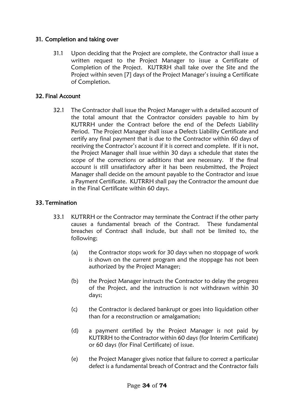## 31. Completion and taking over

31.1 Upon deciding that the Project are complete, the Contractor shall issue a written request to the Project Manager to issue a Certificate of Completion of the Project. KUTRRH shall take over the Site and the Project within seven [7] days of the Project Manager's issuing a Certificate of Completion.

#### 32. Final Account

32.1 The Contractor shall issue the Project Manager with a detailed account of the total amount that the Contractor considers payable to him by KUTRRH under the Contract before the end of the Defects Liability Period. The Project Manager shall issue a Defects Liability Certificate and certify any final payment that is due to the Contractor within 60 days of receiving the Contractor's account if it is correct and complete. If it is not, the Project Manager shall issue within 30 days a schedule that states the scope of the corrections or additions that are necessary. If the final account is still unsatisfactory after it has been resubmitted, the Project Manager shall decide on the amount payable to the Contractor and issue a Payment Certificate. KUTRRH shall pay the Contractor the amount due in the Final Certificate within 60 days.

#### 33. Termination

- 33.1 KUTRRH or the Contractor may terminate the Contract if the other party causes a fundamental breach of the Contract. These fundamental breaches of Contract shall include, but shall not be limited to, the following;
	- (a) the Contractor stops work for 30 days when no stoppage of work is shown on the current program and the stoppage has not been authorized by the Project Manager;
	- (b) the Project Manager instructs the Contractor to delay the progress of the Project, and the instruction is not withdrawn within 30 days;
	- (c) the Contractor is declared bankrupt or goes into liquidation other than for a reconstruction or amalgamation;
	- (d) a payment certified by the Project Manager is not paid by KUTRRH to the Contractor within 60 days (for Interim Certificate) or 60 days (for Final Certificate) of issue.
	- (e) the Project Manager gives notice that failure to correct a particular defect is a fundamental breach of Contract and the Contractor fails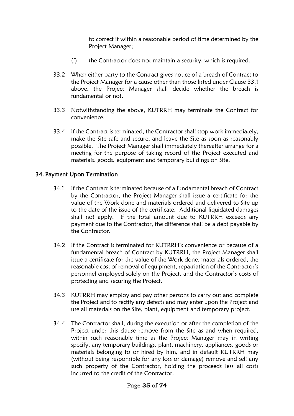to correct it within a reasonable period of time determined by the Project Manager;

- (f) the Contractor does not maintain a security, which is required.
- 33.2 When either party to the Contract gives notice of a breach of Contract to the Project Manager for a cause other than those listed under Clause 33.1 above, the Project Manager shall decide whether the breach is fundamental or not.
- 33.3 Notwithstanding the above, KUTRRH may terminate the Contract for convenience.
- 33.4 If the Contract is terminated, the Contractor shall stop work immediately, make the Site safe and secure, and leave the Site as soon as reasonably possible. The Project Manager shall immediately thereafter arrange for a meeting for the purpose of taking record of the Project executed and materials, goods, equipment and temporary buildings on Site.

#### 34. Payment Upon Termination

- 34.1 If the Contract is terminated because of a fundamental breach of Contract by the Contractor, the Project Manager shall issue a certificate for the value of the Work done and materials ordered and delivered to Site up to the date of the issue of the certificate. Additional liquidated damages shall not apply. If the total amount due to KUTRRH exceeds any payment due to the Contractor, the difference shall be a debt payable by the Contractor.
- 34.2 If the Contract is terminated for KUTRRH's convenience or because of a fundamental breach of Contract by KUTRRH, the Project Manager shall issue a certificate for the value of the Work done, materials ordered, the reasonable cost of removal of equipment, repatriation of the Contractor's personnel employed solely on the Project, and the Contractor's costs of protecting and securing the Project.
- 34.3 KUTRRH may employ and pay other persons to carry out and complete the Project and to rectify any defects and may enter upon the Project and use all materials on the Site, plant, equipment and temporary project.
- 34.4 The Contractor shall, during the execution or after the completion of the Project under this clause remove from the Site as and when required, within such reasonable time as the Project Manager may in writing specify, any temporary buildings, plant, machinery, appliances, goods or materials belonging to or hired by him, and in default KUTRRH may (without being responsible for any loss or damage) remove and sell any such property of the Contractor, holding the proceeds less all costs incurred to the credit of the Contractor.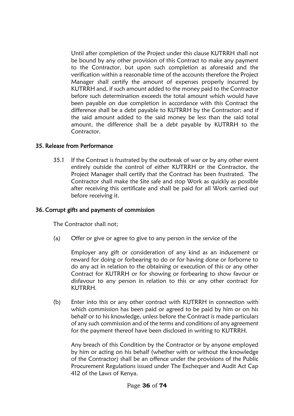Until after completion of the Project under this clause KUTRRH shall not be bound by any other provision of this Contract to make any payment to the Contractor, but upon such completion as aforesaid and the verification within a reasonable time of the accounts therefore the Project Manager shall certify the amount of expenses properly incurred by KUTRRH and, if such amount added to the money paid to the Contractor before such determination exceeds the total amount which would have been payable on due completion in accordance with this Contract the difference shall be a debt payable to KUTRRH by the Contractor; and if the said amount added to the said money be less than the said total amount, the difference shall be a debt payable by KUTRRH to the Contractor.

#### 35. Release from Performance

35.1 If the Contract is frustrated by the outbreak of war or by any other event entirely outside the control of either KUTRRH or the Contractor, the Project Manager shall certify that the Contract has been frustrated. The Contractor shall make the Site safe and stop Work as quickly as possible after receiving this certificate and shall be paid for all Work carried out before receiving it.

#### 36. Corrupt gifts and payments of commission

The Contractor shall not;

(a) Offer or give or agree to give to any person in the service of the

Employer any gift or consideration of any kind as an inducement or reward for doing or forbearing to do or for having done or forborne to do any act in relation to the obtaining or execution of this or any other Contract for KUTRRH or for showing or forbearing to show favour or disfavour to any person in relation to this or any other contract for KUTRRH.

(b) Enter into this or any other contract with KUTRRH in connection with which commission has been paid or agreed to be paid by him or on his behalf or to his knowledge, unless before the Contract is made particulars of any such commission and of the terms and conditions of any agreement for the payment thereof have been disclosed in writing to KUTRRH.

Any breach of this Condition by the Contractor or by anyone employed by him or acting on his behalf (whether with or without the knowledge of the Contractor) shall be an offence under the provisions of the Public Procurement Regulations issued under The Exchequer and Audit Act Cap 412 of the Laws of Kenya.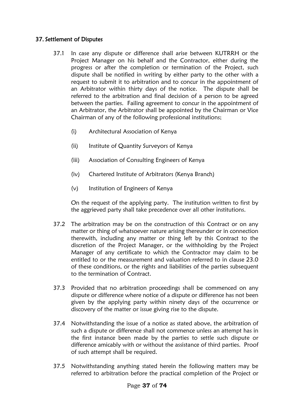# 37. Settlement of Disputes

- 37.1 In case any dispute or difference shall arise between KUTRRH or the Project Manager on his behalf and the Contractor, either during the progress or after the completion or termination of the Project, such dispute shall be notified in writing by either party to the other with a request to submit it to arbitration and to concur in the appointment of an Arbitrator within thirty days of the notice. The dispute shall be referred to the arbitration and final decision of a person to be agreed between the parties. Failing agreement to concur in the appointment of an Arbitrator, the Arbitrator shall be appointed by the Chairman or Vice Chairman of any of the following professional institutions;
	- (i) Architectural Association of Kenya
	- (ii) Institute of Quantity Surveyors of Kenya
	- (iii) Association of Consulting Engineers of Kenya
	- (iv) Chartered Institute of Arbitrators (Kenya Branch)
	- (v) Institution of Engineers of Kenya

On the request of the applying party. The institution written to first by the aggrieved party shall take precedence over all other institutions.

- 37.2 The arbitration may be on the construction of this Contract or on any matter or thing of whatsoever nature arising thereunder or in connection therewith, including any matter or thing left by this Contract to the discretion of the Project Manager, or the withholding by the Project Manager of any certificate to which the Contractor may claim to be entitled to or the measurement and valuation referred to in clause 23.0 of these conditions, or the rights and liabilities of the parties subsequent to the termination of Contract.
- 37.3 Provided that no arbitration proceedings shall be commenced on any dispute or difference where notice of a dispute or difference has not been given by the applying party within ninety days of the occurrence or discovery of the matter or issue giving rise to the dispute.
- 37.4 Notwithstanding the issue of a notice as stated above, the arbitration of such a dispute or difference shall not commence unless an attempt has in the first instance been made by the parties to settle such dispute or difference amicably with or without the assistance of third parties. Proof of such attempt shall be required.
- 37.5 Notwithstanding anything stated herein the following matters may be referred to arbitration before the practical completion of the Project or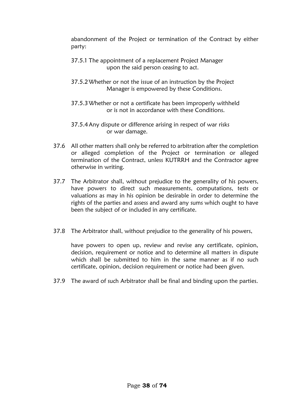abandonment of the Project or termination of the Contract by either party:

- 37.5.1 The appointment of a replacement Project Manager upon the said person ceasing to act.
- 37.5.2Whether or not the issue of an instruction by the Project Manager is empowered by these Conditions.
- 37.5.3Whether or not a certificate has been improperly withheld or is not in accordance with these Conditions.
- 37.5.4Any dispute or difference arising in respect of war risks or war damage.
- 37.6 All other matters shall only be referred to arbitration after the completion or alleged completion of the Project or termination or alleged termination of the Contract, unless KUTRRH and the Contractor agree otherwise in writing.
- 37.7 The Arbitrator shall, without prejudice to the generality of his powers, have powers to direct such measurements, computations, tests or valuations as may in his opinion be desirable in order to determine the rights of the parties and assess and award any sums which ought to have been the subject of or included in any certificate.
- 37.8 The Arbitrator shall, without prejudice to the generality of his powers,

have powers to open up, review and revise any certificate, opinion, decision, requirement or notice and to determine all matters in dispute which shall be submitted to him in the same manner as if no such certificate, opinion, decision requirement or notice had been given.

37.9 The award of such Arbitrator shall be final and binding upon the parties.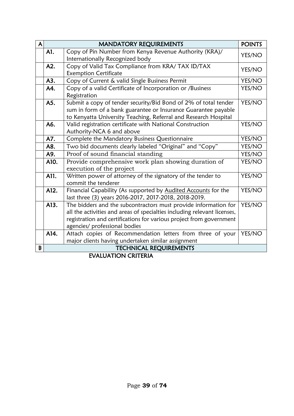| $\mathsf{A}$ |      | MANDATORY REQUIREMENTS                                                                                                                                                                                                                              | <b>POINTS</b> |
|--------------|------|-----------------------------------------------------------------------------------------------------------------------------------------------------------------------------------------------------------------------------------------------------|---------------|
|              | A1.  | Copy of Pin Number from Kenya Revenue Authority (KRA)/<br>Internationally Recognized body                                                                                                                                                           | YES/NO        |
|              | A2.  | Copy of Valid Tax Compliance from KRA/ TAX ID/TAX<br><b>Exemption Certificate</b>                                                                                                                                                                   | YES/NO        |
|              | A3.  | Copy of Current & valid Single Business Permit                                                                                                                                                                                                      | YES/NO        |
|              | A4.  | Copy of a valid Certificate of Incorporation or /Business<br>Registration                                                                                                                                                                           | YES/NO        |
|              | A5.  | Submit a copy of tender security/Bid Bond of 2% of total tender<br>sum in form of a bank guarantee or Insurance Guarantee payable<br>to Kenyatta University Teaching, Referral and Research Hospital                                                | YES/NO        |
|              | A6.  | Valid registration certificate with National Construction<br>Authority-NCA 6 and above                                                                                                                                                              | YES/NO        |
|              | A7.  | Complete the Mandatory Business Questionnaire                                                                                                                                                                                                       | YES/NO        |
|              | A8.  | Two bid documents clearly labeled "Original" and "Copy"                                                                                                                                                                                             | YES/NO        |
|              | A9.  | Proof of sound financial standing                                                                                                                                                                                                                   | YES/NO        |
|              | A10. | Provide comprehensive work plan showing duration of<br>execution of the project                                                                                                                                                                     | YES/NO        |
|              | A11. | Written power of attorney of the signatory of the tender to<br>commit the tenderer                                                                                                                                                                  | YES/NO        |
|              | A12. | Financial Capability (As supported by Audited Accounts for the<br>last three (3) years 2016-2017, 2017-2018, 2018-2019.                                                                                                                             | YES/NO        |
|              | A13. | The bidders and the subcontractors must provide information for<br>all the activities and areas of specialties including relevant licenses,<br>registration and certifications for various project from government<br>agencies/ professional bodies | YES/NO        |
|              | A14. | Attach copies of Recommendation letters from three of your<br>major clients having undertaken similar assignment                                                                                                                                    | YES/NO        |
| B            |      | <b>TECHNICAL REQUIREMENTS</b><br><b>MILIILEIOLI CREEDIL</b>                                                                                                                                                                                         |               |

EVALUATION CRITERIA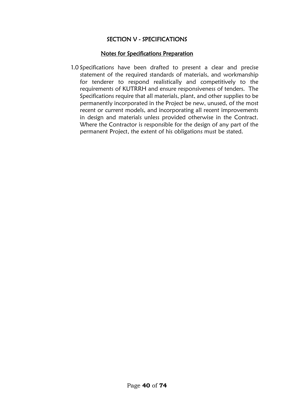# SECTION V - SPECIFICATIONS

#### Notes for Specifications Preparation

1.0 Specifications have been drafted to present a clear and precise statement of the required standards of materials, and workmanship for tenderer to respond realistically and competitively to the requirements of KUTRRH and ensure responsiveness of tenders. The Specifications require that all materials, plant, and other supplies to be permanently incorporated in the Project be new, unused, of the most recent or current models, and incorporating all recent improvements in design and materials unless provided otherwise in the Contract. Where the Contractor is responsible for the design of any part of the permanent Project, the extent of his obligations must be stated.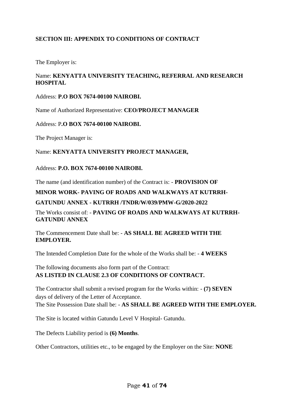# **SECTION III: APPENDIX TO CONDITIONS OF CONTRACT**

The Employer is:

# Name: **KENYATTA UNIVERSITY TEACHING, REFERRAL AND RESEARCH HOSPITAL**

#### Address: **P.O BOX 7674-00100 NAIROBI.**

Name of Authorized Representative: **CEO/PROJECT MANAGER**

#### Address: P**.O BOX 7674-00100 NAIROBI.**

The Project Manager is:

#### Name: **KENYATTA UNIVERSITY PROJECT MANAGER,**

#### Address: **P.O. BOX 7674-00100 NAIROBI.**

The name (and identification number) of the Contract is: - **PROVISION OF** 

#### **MINOR WORK- PAVING OF ROADS AND WALKWAYS AT KUTRRH-**

#### **GATUNDU ANNEX - KUTRRH /TNDR/W/039/PMW-G/2020-2022**

The Works consist of: - **PAVING OF ROADS AND WALKWAYS AT KUTRRH-GATUNDU ANNEX**

#### The Commencement Date shall be: - **AS SHALL BE AGREED WITH THE EMPLOYER.**

The Intended Completion Date for the whole of the Works shall be: - **4 WEEKS**

#### The following documents also form part of the Contract: **AS LISTED IN CLAUSE 2.3 OF CONDITIONS OF CONTRACT.**

The Contractor shall submit a revised program for the Works within: - **(7) SEVEN**  days of delivery of the Letter of Acceptance. The Site Possession Date shall be: - **AS SHALL BE AGREED WITH THE EMPLOYER.**

The Site is located within Gatundu Level V Hospital- Gatundu.

The Defects Liability period is **(6) Months**.

Other Contractors, utilities etc., to be engaged by the Employer on the Site: **NONE**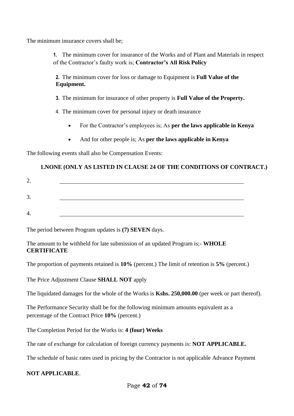The minimum insurance covers shall be;

**1.** The minimum cover for insurance of the Works and of Plant and Materials in respect of the Contractor's faulty work is; **Contractor's All Risk Policy**

**2.** The minimum cover for loss or damage to Equipment is **Full Value of the Equipment.**

**3.** The minimum for insurance of other property is **Full Value of the Property.**

4. The minimum cover for personal injury or death insurance

- For the Contractor's employees is; As **per the laws applicable in Kenya**
- And for other people is; As **per the laws applicable in Kenya**

The following events shall also be Compensation Events:

# **1.NONE (ONLY AS LISTED IN CLAUSE 24 OF THE CONDITIONS OF CONTRACT.)**

| ⌒<br>∠. |  |
|---------|--|
| 3<br>J. |  |
| 4.      |  |

The period between Program updates is **(7) SEVEN** days.

The amount to be withheld for late submission of an updated Program is;- **WHOLE CERTIFICATE**

The proportion of payments retained is **10%** (percent.) The limit of retention is **5%** (percent.)

The Price Adjustment Clause **SHALL NOT** apply

The liquidated damages for the whole of the Works is **Kshs. 250,000.00** (per week or part thereof).

The Performance Security shall be for the following minimum amounts equivalent as a percentage of the Contract Price **10%** (percent.)

The Completion Period for the Works is: **4 (four) Weeks**

The rate of exchange for calculation of foreign currency payments is: **NOT APPLICABLE.**

The schedule of basic rates used in pricing by the Contractor is not applicable Advance Payment

#### **NOT APPLICABLE**.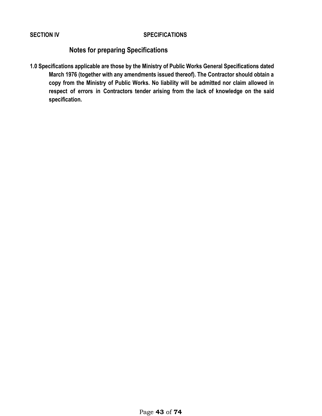#### **SECTION IV SPECIFICATIONS**

# **Notes for preparing Specifications**

**1.0 Specifications applicable are those by the Ministry of Public Works General Specifications dated March 1976 (together with any amendments issued thereof). The Contractor should obtain a copy from the Ministry of Public Works. No liability will be admitted nor claim allowed in respect of errors in Contractors tender arising from the lack of knowledge on the said specification.**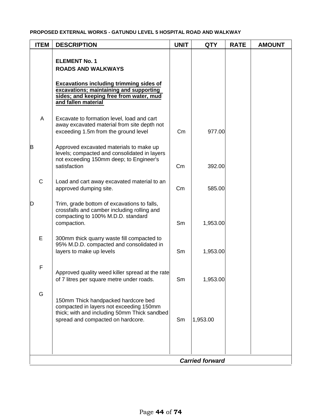#### **PROPOSED EXTERNAL WORKS - GATUNDU LEVEL 5 HOSPITAL ROAD AND WALKWAY**

| <b>ITEM</b> | <b>DESCRIPTION</b>                                                                                                                                                                                               | <b>UNIT</b> | <b>QTY</b> | <b>RATE</b> | <b>AMOUNT</b> |  |  |  |
|-------------|------------------------------------------------------------------------------------------------------------------------------------------------------------------------------------------------------------------|-------------|------------|-------------|---------------|--|--|--|
|             | <b>ELEMENT No. 1</b><br><b>ROADS AND WALKWAYS</b><br><b>Excavations including trimming sides of</b><br>excavations; maintaining and supporting<br>sides; and keeping free from water, mud<br>and fallen material |             |            |             |               |  |  |  |
| A           | Excavate to formation level, load and cart<br>away excavated material from site depth not<br>exceeding 1.5m from the ground level                                                                                | Cm          | 977.00     |             |               |  |  |  |
| B           | Approved excavated materials to make up<br>levels; compacted and consolidated in layers<br>not exceeding 150mm deep; to Engineer's<br>satisfaction                                                               | Cm          | 392.00     |             |               |  |  |  |
| $\mathbf C$ | Load and cart away excavated material to an<br>approved dumping site.                                                                                                                                            | Cm          | 585.00     |             |               |  |  |  |
| D           | Trim, grade bottom of excavations to falls,<br>crossfalls and camber including rolling and<br>compacting to 100% M.D.D. standard<br>compaction.                                                                  | Sm          | 1,953.00   |             |               |  |  |  |
| E           | 300mm thick quarry waste fill compacted to<br>95% M.D.D. compacted and consolidated in<br>layers to make up levels                                                                                               | Sm          | 1,953.00   |             |               |  |  |  |
| $\mathsf F$ | Approved quality weed killer spread at the rate<br>of 7 litres per square metre under roads.                                                                                                                     | Sm          | 1,953.00   |             |               |  |  |  |
| G           | 150mm Thick handpacked hardcore bed<br>compacted in layers not exceeding 150mm<br>thick; with and including 50mm Thick sandbed<br>spread and compacted on hardcore.                                              | Sm          | 1,953.00   |             |               |  |  |  |
|             | <b>Carried forward</b>                                                                                                                                                                                           |             |            |             |               |  |  |  |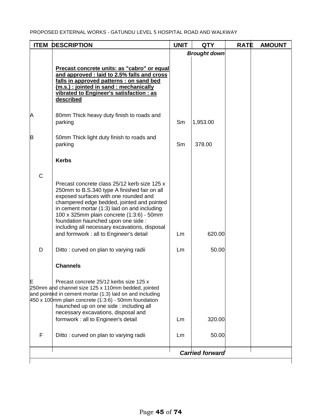| <b>ITEM</b> | <b>DESCRIPTION</b>                                                                                                                                                                                                                                                                                          | <b>UNIT</b> | <b>QTY</b>             | <b>RATE</b> | <b>AMOUNT</b> |
|-------------|-------------------------------------------------------------------------------------------------------------------------------------------------------------------------------------------------------------------------------------------------------------------------------------------------------------|-------------|------------------------|-------------|---------------|
|             |                                                                                                                                                                                                                                                                                                             |             | <b>Brought down</b>    |             |               |
|             | Precast concrete units: as "cabro" or equal<br>and approved : laid to 2.5% falls and cross<br>falls in approved patterns : on sand bed<br>(m.s.) : jointed in sand : mechanically<br>vibrated to Engineer's satisfaction : as<br>described                                                                  |             |                        |             |               |
| A           | 80mm Thick heavy duty finish to roads and<br>parking                                                                                                                                                                                                                                                        | Sm          | 1,953.00               |             |               |
| B           | 50mm Thick light duty finish to roads and<br>parking                                                                                                                                                                                                                                                        | Sm          | 378.00                 |             |               |
|             | <b>Kerbs</b>                                                                                                                                                                                                                                                                                                |             |                        |             |               |
| C           | Precast concrete class 25/12 kerb size 125 x<br>250mm to B.S.340 type A finished fair on all                                                                                                                                                                                                                |             |                        |             |               |
|             | exposed surfaces with one rounded and<br>champered edge bedded, jointed and pointed<br>in cement mortar (1:3) laid on and including<br>100 x 325mm plain concrete (1:3:6) - 50mm<br>foundation haunched upon one side :<br>including all necessary excavations, disposal                                    |             |                        |             |               |
|             | and formwork : all to Engineer's detail                                                                                                                                                                                                                                                                     | Lm          | 620.00                 |             |               |
| D           | Ditto: curved on plan to varying radii                                                                                                                                                                                                                                                                      | Lm          | 50.00                  |             |               |
|             | <b>Channels</b>                                                                                                                                                                                                                                                                                             |             |                        |             |               |
|             | Precast concrete 25/12 kerbs size 125 x<br>250mm and channel size 125 x 110mm bedded, jointed<br>and pointed in cement mortar (1:3) laid on and including<br>$450 \times 100$ mm plain concrete (1:3:6) - 50mm foundation<br>haunched up on one side : including all<br>necessary excavations, disposal and |             |                        |             |               |
|             | formwork : all to Engineer's detail                                                                                                                                                                                                                                                                         | Lm          | 320.00                 |             |               |
| F           | Ditto: curved on plan to varying radii                                                                                                                                                                                                                                                                      | Lm          | 50.00                  |             |               |
|             |                                                                                                                                                                                                                                                                                                             |             | <b>Carried forward</b> |             |               |
|             |                                                                                                                                                                                                                                                                                                             |             |                        |             |               |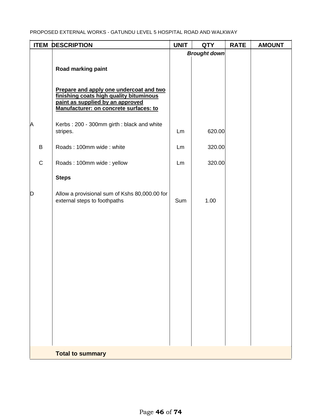|             | <b>ITEM DESCRIPTION</b>                                                                                                                                          | <b>UNIT</b> | <b>QTY</b>          | <b>RATE</b> | <b>AMOUNT</b> |
|-------------|------------------------------------------------------------------------------------------------------------------------------------------------------------------|-------------|---------------------|-------------|---------------|
|             |                                                                                                                                                                  |             | <b>Brought down</b> |             |               |
|             | Road marking paint                                                                                                                                               |             |                     |             |               |
|             | Prepare and apply one undercoat and two<br>finishing coats high quality bituminous<br>paint as supplied by an approved<br>Manufacturer: on concrete surfaces: to |             |                     |             |               |
| A           | Kerbs: 200 - 300mm girth: black and white<br>stripes.                                                                                                            | Lm          | 620.00              |             |               |
| $\sf B$     | Roads: 100mm wide: white                                                                                                                                         | Lm          | 320.00              |             |               |
| $\mathbf C$ | Roads: 100mm wide: yellow                                                                                                                                        | Lm          | 320.00              |             |               |
|             | <b>Steps</b>                                                                                                                                                     |             |                     |             |               |
| D           | Allow a provisional sum of Kshs 80,000.00 for<br>external steps to foothpaths                                                                                    | Sum         | 1.00                |             |               |
|             |                                                                                                                                                                  |             |                     |             |               |
|             |                                                                                                                                                                  |             |                     |             |               |
|             |                                                                                                                                                                  |             |                     |             |               |
|             |                                                                                                                                                                  |             |                     |             |               |
|             |                                                                                                                                                                  |             |                     |             |               |
|             |                                                                                                                                                                  |             |                     |             |               |
|             |                                                                                                                                                                  |             |                     |             |               |
|             |                                                                                                                                                                  |             |                     |             |               |
|             | <b>Total to summary</b>                                                                                                                                          |             |                     |             |               |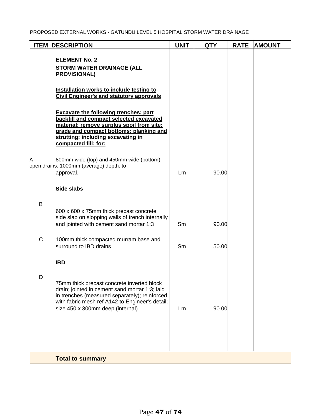| <b>ITEM</b> | <b>DESCRIPTION</b>                                                                                                                                                                                                                            | <b>UNIT</b> | <b>QTY</b> | <b>RATE</b> | <b>AMOUNT</b> |
|-------------|-----------------------------------------------------------------------------------------------------------------------------------------------------------------------------------------------------------------------------------------------|-------------|------------|-------------|---------------|
|             | <b>ELEMENT No. 2</b><br><b>STORM WATER DRAINAGE (ALL</b><br><b>PROVISIONAL)</b>                                                                                                                                                               |             |            |             |               |
|             | Installation works to include testing to<br><b>Civil Engineer's and statutory approvals</b>                                                                                                                                                   |             |            |             |               |
|             | <b>Excavate the following trenches: part</b><br>backfill and compact selected excavated<br>material: remove surplus spoil from site:<br>grade and compact bottoms: planking and<br>strutting: including excavating in<br>compacted fill: for: |             |            |             |               |
| Α           | 800mm wide (top) and 450mm wide (bottom)<br>ppen drains: 1000mm (average) depth: to<br>approval.                                                                                                                                              | Lm          | 90.00      |             |               |
|             | Side slabs                                                                                                                                                                                                                                    |             |            |             |               |
| $\sf B$     | 600 x 600 x 75mm thick precast concrete<br>side slab on slopping walls of trench internally<br>and jointed with cement sand mortar 1:3                                                                                                        | Sm          | 90.00      |             |               |
| $\mathsf C$ | 100mm thick compacted murram base and<br>surround to IBD drains                                                                                                                                                                               | Sm          | 50.00      |             |               |
|             | <b>IBD</b>                                                                                                                                                                                                                                    |             |            |             |               |
| D           | 75mm thick precast concrete inverted block<br>drain; jointed in cement sand mortar 1:3; laid<br>in trenches (measured separately); reinforced<br>with fabric mesh ref A142 to Engineer's detail;<br>size 450 x 300mm deep (internal)          | Lm.         | 90.00      |             |               |
|             | <b>Total to summary</b>                                                                                                                                                                                                                       |             |            |             |               |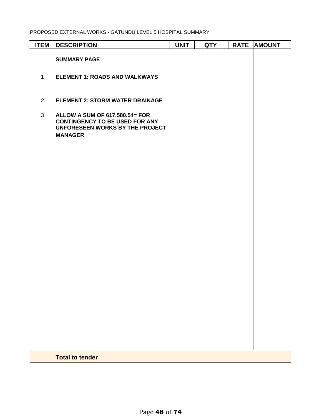| <b>ITEM</b>    | <b>DESCRIPTION</b>                                                                                                           | <b>UNIT</b> | <b>QTY</b> | <b>RATE</b> | <b>AMOUNT</b> |
|----------------|------------------------------------------------------------------------------------------------------------------------------|-------------|------------|-------------|---------------|
|                | <b>SUMMARY PAGE</b>                                                                                                          |             |            |             |               |
| $\mathbf{1}$   | <b>ELEMENT 1: ROADS AND WALKWAYS</b>                                                                                         |             |            |             |               |
| $\overline{2}$ | <b>ELEMENT 2: STORM WATER DRAINAGE</b>                                                                                       |             |            |             |               |
| $\mathfrak{S}$ | ALLOW A SUM OF 617,580.54= FOR<br><b>CONTINGENCY TO BE USED FOR ANY</b><br>UNFORESEEN WORKS BY THE PROJECT<br><b>MANAGER</b> |             |            |             |               |
|                |                                                                                                                              |             |            |             |               |
|                |                                                                                                                              |             |            |             |               |
|                | <b>Total to tender</b>                                                                                                       |             |            |             |               |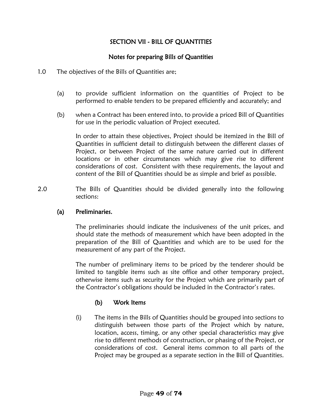# SECTION VII - BILL OF QUANTITIES

# Notes for preparing Bills of Quantities

- 1.0 The objectives of the Bills of Quantities are;
	- (a) to provide sufficient information on the quantities of Project to be performed to enable tenders to be prepared efficiently and accurately; and
	- (b) when a Contract has been entered into, to provide a priced Bill of Quantities for use in the periodic valuation of Project executed.

In order to attain these objectives, Project should be itemized in the Bill of Quantities in sufficient detail to distinguish between the different classes of Project, or between Project of the same nature carried out in different locations or in other circumstances which may give rise to different considerations of cost. Consistent with these requirements, the layout and content of the Bill of Quantities should be as simple and brief as possible.

2.0 The Bills of Quantities should be divided generally into the following sections:

#### (a) Preliminaries.

The preliminaries should indicate the inclusiveness of the unit prices, and should state the methods of measurement which have been adopted in the preparation of the Bill of Quantities and which are to be used for the measurement of any part of the Project.

The number of preliminary items to be priced by the tenderer should be limited to tangible items such as site office and other temporary project, otherwise items such as security for the Project which are primarily part of the Contractor's obligations should be included in the Contractor's rates.

# (b) Work Items

(i) The items in the Bills of Quantities should be grouped into sections to distinguish between those parts of the Project which by nature, location, access, timing, or any other special characteristics may give rise to different methods of construction, or phasing of the Project, or considerations of cost. General items common to all parts of the Project may be grouped as a separate section in the Bill of Quantities.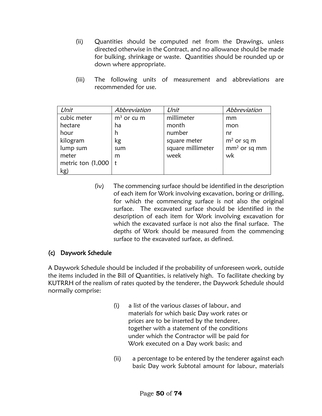- (ii) Quantities should be computed net from the Drawings, unless directed otherwise in the Contract, and no allowance should be made for bulking, shrinkage or waste. Quantities should be rounded up or down where appropriate.
- (iii) The following units of measurement and abbreviations are recommended for use.

| Unit                   | Abbreviation | Unit              | Abbreviation   |
|------------------------|--------------|-------------------|----------------|
| cubic meter            | $m3$ or cu m | millimeter        | mm             |
| hectare                | ha           | month             | mon            |
| hour                   | h            | number            | nr             |
| kilogram               | kg           | square meter      | $m2$ or sq m   |
| lump sum               | sum          | square millimeter | $mm2$ or sq mm |
| meter                  | m            | week              | wk             |
| metric ton $(1,000)$ t |              |                   |                |
| kg)                    |              |                   |                |

(iv) The commencing surface should be identified in the description of each item for Work involving excavation, boring or drilling, for which the commencing surface is not also the original surface. The excavated surface should be identified in the description of each item for Work involving excavation for which the excavated surface is not also the final surface. The depths of Work should be measured from the commencing surface to the excavated surface, as defined.

#### (c) Daywork Schedule

A Daywork Schedule should be included if the probability of unforeseen work, outside the items included in the Bill of Quantities, is relatively high. To facilitate checking by KUTRRH of the realism of rates quoted by the tenderer, the Daywork Schedule should normally comprise:

- (i) a list of the various classes of labour, and materials for which basic Day work rates or prices are to be inserted by the tenderer, together with a statement of the conditions under which the Contractor will be paid for Work executed on a Day work basis; and
- (ii) a percentage to be entered by the tenderer against each basic Day work Subtotal amount for labour, materials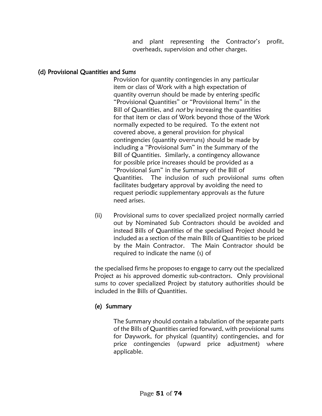and plant representing the Contractor's profit, overheads, supervision and other charges.

#### (d) Provisional Quantities and Sums

Provision for quantity contingencies in any particular item or class of Work with a high expectation of quantity overrun should be made by entering specific "Provisional Quantities" or "Provisional Items" in the Bill of Quantities, and not by increasing the quantities for that item or class of Work beyond those of the Work normally expected to be required. To the extent not covered above, a general provision for physical contingencies (quantity overruns) should be made by including a "Provisional Sum" in the Summary of the Bill of Quantities. Similarly, a contingency allowance for possible price increases should be provided as a "Provisional Sum" in the Summary of the Bill of Quantities. The inclusion of such provisional sums often facilitates budgetary approval by avoiding the need to request periodic supplementary approvals as the future need arises.

(ii) Provisional sums to cover specialized project normally carried out by Nominated Sub Contractors should be avoided and instead Bills of Quantities of the specialised Project should be included as a section of the main Bills of Quantities to be priced by the Main Contractor. The Main Contractor should be required to indicate the name (s) of

the specialised firms he proposes to engage to carry out the specialized Project as his approved domestic sub-contractors. Only provisional sums to cover specialized Project by statutory authorities should be included in the Bills of Quantities.

#### (e) Summary

 The Summary should contain a tabulation of the separate parts of the Bills of Quantities carried forward, with provisional sums for Daywork, for physical (quantity) contingencies, and for price contingencies (upward price adjustment) where applicable.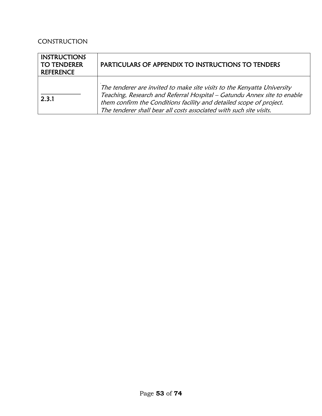# **CONSTRUCTION**

| <b>INSTRUCTIONS</b><br><b>TO TENDERER</b><br><b>REFERENCE</b> | <b>PARTICULARS OF APPENDIX TO INSTRUCTIONS TO TENDERS</b>                                                                                                                                                                                                                                        |
|---------------------------------------------------------------|--------------------------------------------------------------------------------------------------------------------------------------------------------------------------------------------------------------------------------------------------------------------------------------------------|
| 2.3.1                                                         | The tenderer are invited to make site visits to the Kenyatta University<br>Teaching, Research and Referral Hospital - Gatundu Annex site to enable<br>them confirm the Conditions facility and detailed scope of project.<br>The tenderer shall bear all costs associated with such site visits. |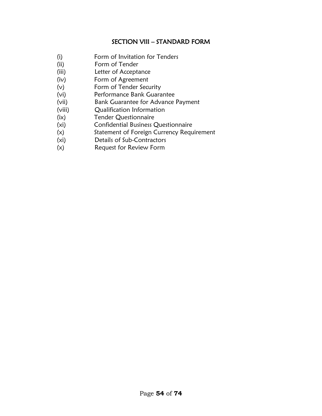# SECTION VIII – STANDARD FORM

- (i) Form of Invitation for Tenders
- (ii) Form of Tender
- (iii) Letter of Acceptance
- (iv) Form of Agreement
- (v) Form of Tender Security
- (vi) Performance Bank Guarantee
- (vii) Bank Guarantee for Advance Payment
- (viii) Qualification Information
- (ix) Tender Questionnaire
- (xi) Confidential Business Questionnaire
- (x) Statement of Foreign Currency Requirement
- (xi) Details of Sub-Contractors
- (x) Request for Review Form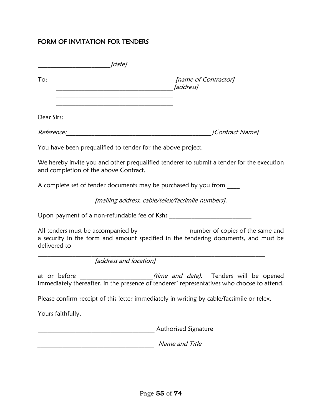# FORM OF INVITATION FOR TENDERS

| To:<br>the control of the control of the control of the control of the control of the control of                                                                                                                                            |                                                                                       |
|---------------------------------------------------------------------------------------------------------------------------------------------------------------------------------------------------------------------------------------------|---------------------------------------------------------------------------------------|
| the control of the control of the control of the control of the control of the control of the control of the control of the control of the control of the control of the control of the control of the control of the control<br>Dear Sirs: |                                                                                       |
|                                                                                                                                                                                                                                             | [Contract Name]                                                                       |
| You have been prequalified to tender for the above project.                                                                                                                                                                                 |                                                                                       |
| We hereby invite you and other prequalified tenderer to submit a tender for the execution<br>and completion of the above Contract.                                                                                                          |                                                                                       |
| A complete set of tender documents may be purchased by you from                                                                                                                                                                             |                                                                                       |
| [mailing address, cable/telex/facsimile numbers].                                                                                                                                                                                           |                                                                                       |
|                                                                                                                                                                                                                                             |                                                                                       |
| a security in the form and amount specified in the tendering documents, and must be<br>delivered to                                                                                                                                         | All tenders must be accompanied by __________________number of copies of the same and |
| [address and location]                                                                                                                                                                                                                      |                                                                                       |
| at or before<br>immediately thereafter, in the presence of tenderer' representatives who choose to attend.                                                                                                                                  | ___________________________(time and date). Tenders will be opened                    |
| Please confirm receipt of this letter immediately in writing by cable/facsimile or telex.                                                                                                                                                   |                                                                                       |
| Yours faithfully,                                                                                                                                                                                                                           |                                                                                       |
|                                                                                                                                                                                                                                             | Authorised Signature                                                                  |
|                                                                                                                                                                                                                                             | Name and Title                                                                        |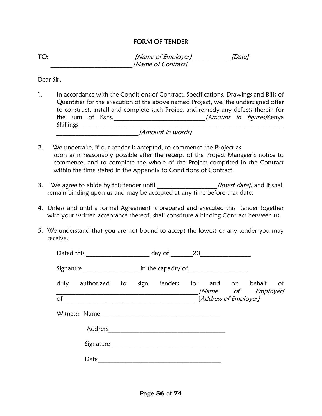#### FORM OF TENDER

TO: TO: the contract the set of Employer) and the set of Employer  $[Date]$ \_\_\_\_\_\_\_\_\_\_\_\_\_\_\_\_\_\_\_\_\_\_\_\_\_\_[Name of Contract]

Dear Sir,

1. In accordance with the Conditions of Contract, Specifications, Drawings and Bills of Quantities for the execution of the above named Project, we, the undersigned offer to construct, install and complete such Project and remedy any defects therein for the sum of Kshs.\_\_\_\_\_\_\_\_\_\_\_\_\_\_\_\_\_\_\_\_\_\_\_\_\_\_\_\_\_[Amount in figures]Kenya Shillings

\_\_\_\_\_\_\_\_\_\_\_\_\_\_\_\_\_\_\_\_\_\_\_\_\_\_[Amount in words]

- 2. We undertake, if our tender is accepted, to commence the Project as soon as is reasonably possible after the receipt of the Project Manager's notice to commence, and to complete the whole of the Project comprised in the Contract within the time stated in the Appendix to Conditions of Contract.
- 3. We agree to abide by this tender until \_\_\_\_\_\_\_\_\_\_\_\_\_\_\_\_\_\_\_\_\_\_\_\_[Insert date], and it shall remain binding upon us and may be accepted at any time before that date.
- 4. Unless and until a formal Agreement is prepared and executed this tender together with your written acceptance thereof, shall constitute a binding Contract between us.
- 5. We understand that you are not bound to accept the lowest or any tender you may receive.

|      | Dated this <u>____________</u> |  | day of 20                        |                       |                                         |    |
|------|--------------------------------|--|----------------------------------|-----------------------|-----------------------------------------|----|
|      | Signature                      |  | in the capacity of $\sqrt{2\pi}$ |                       |                                         |    |
| duly | authorized to sign tenders     |  |                                  |                       | for and on behalf<br>[Name of Employer] | of |
| of   |                                |  |                                  | [Address of Employer] |                                         |    |
|      | Witness; Name                  |  |                                  |                       |                                         |    |
|      | Address                        |  |                                  |                       |                                         |    |
|      | Signature                      |  |                                  |                       |                                         |    |
|      | Date                           |  |                                  |                       |                                         |    |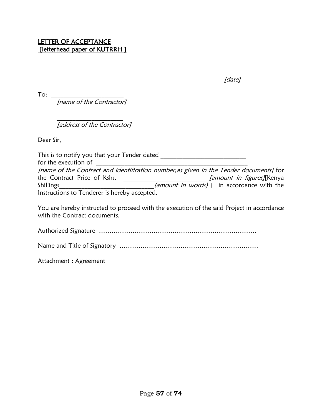$[date]$ 

To:  $\overline{\phantom{a}}$ 

[name of the Contractor]

 $\mathcal{L}=\mathcal{L}^{\mathcal{L}}$ [address of the Contractor]

Dear Sir,

This is to notify you that your Tender dated **with the same of the set of the set of the set of the set of the s** for the execution of [name of the Contract and identification number,as given in the Tender documents] for the Contract Price of Kshs. \_\_\_\_\_\_\_\_\_\_\_\_\_\_\_\_\_\_\_\_\_\_\_\_\_\_ [amount in figures][Kenya Shillings\_\_\_\_\_\_\_\_\_\_\_\_\_\_\_\_\_\_\_\_\_\_\_\_\_\_\_\_\_*(amount in words)* ] in accordance with the Instructions to Tenderer is hereby accepted.

You are hereby instructed to proceed with the execution of the said Project in accordance with the Contract documents.

Authorized Signature …………………………………………………………………

Name and Title of Signatory …………………………………………………………

Attachment : Agreement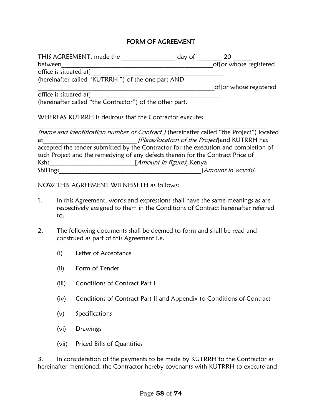#### FORM OF AGREEMENT

| THIS AGREEMENT, made the                                                                | day of                              | 20                                             |
|-----------------------------------------------------------------------------------------|-------------------------------------|------------------------------------------------|
| between                                                                                 |                                     | offor whose registered                         |
| office is situated at]                                                                  |                                     |                                                |
| (hereinafter called "KUTRRH") of the one part AND                                       |                                     |                                                |
|                                                                                         |                                     | of [or whose registered                        |
| office is situated at]                                                                  |                                     |                                                |
| (hereinafter called "the Contractor") of the other part.                                |                                     |                                                |
| WHEREAS KUTRRH is desirous that the Contractor executes                                 |                                     |                                                |
| (name and identification number of Contract) (hereinafter called "the Project") located |                                     |                                                |
| at                                                                                      |                                     | [Place/location of the Project] and KUTRRH has |
| accepted the tender submitted by the Contractor for the execution and completion of     |                                     |                                                |
| such Project and the remedying of any defects therein for the Contract Price of         |                                     |                                                |
| Kshs                                                                                    | [ <i>Amount in figures</i> ], Kenya |                                                |
| Shillings                                                                               |                                     | [Amount in words].                             |

NOW THIS AGREEMENT WITNESSETH as follows:

- 1. In this Agreement, words and expressions shall have the same meanings as are respectively assigned to them in the Conditions of Contract hereinafter referred to.
- 2. The following documents shall be deemed to form and shall be read and construed as part of this Agreement i.e.
	- (i) Letter of Acceptance
	- (ii) Form of Tender
	- (iii) Conditions of Contract Part I
	- (iv) Conditions of Contract Part II and Appendix to Conditions of Contract
	- (v) Specifications
	- (vi) Drawings
	- (vii) Priced Bills of Quantities

3. In consideration of the payments to be made by KUTRRH to the Contractor as hereinafter mentioned, the Contractor hereby covenants with KUTRRH to execute and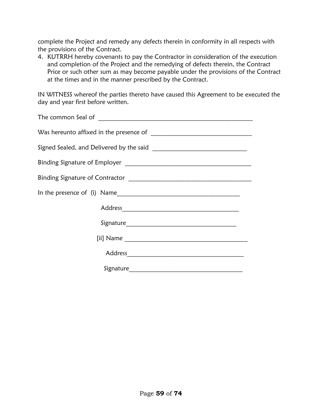complete the Project and remedy any defects therein in conformity in all respects with the provisions of the Contract.

4. KUTRRH hereby covenants to pay the Contractor in consideration of the execution and completion of the Project and the remedying of defects therein, the Contract Price or such other sum as may become payable under the provisions of the Contract at the times and in the manner prescribed by the Contract.

IN WITNESS whereof the parties thereto have caused this Agreement to be executed the day and year first before written.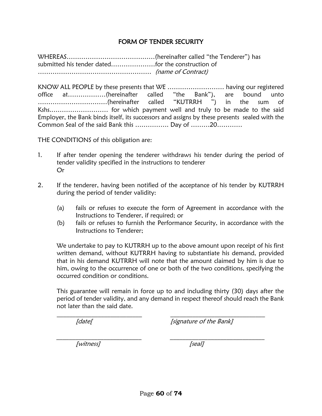#### FORM OF TENDER SECURITY

WHEREAS……………………………………(hereinafter called "the Tenderer") has submitted his tender dated…………………for the construction of ……………………………………………… (name of Contract)

KNOW ALL PEOPLE by these presents that WE ……………………… having our registered office at………………(hereinafter called "the Bank"), are bound unto ……………………………(hereinafter called "KUTRRH ") in the sum of Kshs.……………………… for which payment well and truly to be made to the said Employer, the Bank binds itself, its successors and assigns by these presents sealed with the Common Seal of the said Bank this ……………. Day of ………20…………

THE CONDITIONS of this obligation are:

- 1. If after tender opening the tenderer withdraws his tender during the period of tender validity specified in the instructions to tenderer Or
- 2. If the tenderer, having been notified of the acceptance of his tender by KUTRRH during the period of tender validity:
	- (a) fails or refuses to execute the form of Agreement in accordance with the Instructions to Tenderer, if required; or
	- (b) fails or refuses to furnish the Performance Security, in accordance with the Instructions to Tenderer;

We undertake to pay to KUTRRH up to the above amount upon receipt of his first written demand, without KUTRRH having to substantiate his demand, provided that in his demand KUTRRH will note that the amount claimed by him is due to him, owing to the occurrence of one or both of the two conditions, specifying the occurred condition or conditions.

This guarantee will remain in force up to and including thirty (30) days after the period of tender validity, and any demand in respect thereof should reach the Bank not later than the said date.

\_\_\_\_\_\_\_\_\_\_\_\_\_\_\_\_\_\_\_\_\_\_\_\_\_\_\_ \_\_\_\_\_\_\_\_\_\_\_\_\_\_\_\_\_\_\_\_\_\_\_\_\_\_\_\_\_\_

 $\overline{\phantom{a}}$  , and the contract of the contract of the contract of the contract of the contract of the contract of the contract of the contract of the contract of the contract of the contract of the contract of the contrac

[date] [signature of the Bank]

[witness] [seal]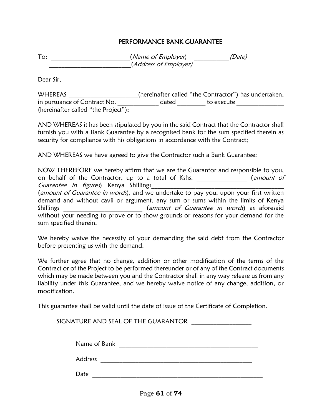#### PERFORMANCE BANK GUARANTEE

To: \_\_\_\_\_\_\_\_\_\_\_\_\_\_\_\_\_\_\_\_\_\_\_(Name of Employer) (Date) \_\_\_\_\_\_\_\_\_\_\_\_\_\_\_\_\_\_\_\_\_\_\_\_\_\_(Address of Employer)

Dear Sir,

WHEREAS \_\_\_\_\_\_\_\_\_\_\_\_\_\_\_\_\_\_\_(hereinafter called "the Contractor") has undertaken, in pursuance of Contract No. \_\_\_\_\_\_\_\_\_\_\_\_\_\_\_ dated \_\_\_\_\_\_\_\_\_\_ to execute \_\_\_\_\_\_\_\_\_\_\_\_\_\_ (hereinafter called "the Project");

AND WHEREAS it has been stipulated by you in the said Contract that the Contractor shall furnish you with a Bank Guarantee by a recognised bank for the sum specified therein as security for compliance with his obligations in accordance with the Contract;

AND WHEREAS we have agreed to give the Contractor such a Bank Guarantee:

NOW THEREFORE we hereby affirm that we are the Guarantor and responsible to you, on behalf of the Contractor, up to a total of Kshs. \_\_\_\_\_\_\_\_\_\_\_\_\_\_\_\_ (amount of Guarantee in figures) Kenya Shillings (amount of Guarantee in words), and we undertake to pay you, upon your first written demand and without cavil or argument, any sum or sums within the limits of Kenya Shillings \_\_\_\_\_\_\_\_\_\_\_\_\_\_\_\_\_\_\_\_\_\_\_\_\_\_\_\_\_\_(amount of Guarantee in words) as aforesaid without your needing to prove or to show grounds or reasons for your demand for the sum specified therein.

We hereby waive the necessity of your demanding the said debt from the Contractor before presenting us with the demand.

We further agree that no change, addition or other modification of the terms of the Contract or of the Project to be performed thereunder or of any of the Contract documents which may be made between you and the Contractor shall in any way release us from any liability under this Guarantee, and we hereby waive notice of any change, addition, or modification.

This guarantee shall be valid until the date of issue of the Certificate of Completion.

SIGNATURE AND SEAL OF THE GUARANTOR **WE** 

Name of Bank **Exercise 2.1** 

Address **and a set of the set of the set of the set of the set of the set of the set of the set of the set of the set of the set of the set of the set of the set of the set of the set of the set of the set of the set of th** 

 ${\sf Date}$   ${\sf -}$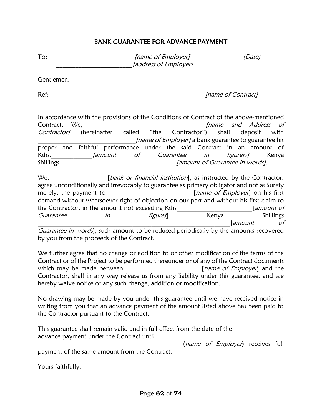#### BANK GUARANTEE FOR ADVANCE PAYMENT

| - | [name of Employer]    |  |
|---|-----------------------|--|
|   | [address of Employer] |  |

Gentlemen,

Ref: The contract of Contract and the contract of Contract and the contract of Contract and the contract of Contract and the contract of Contract and the contract of Contract and the contract of Contract and the contract o

In accordance with the provisions of the Conditions of Contract of the above-mentioned Contract, We, 2008, 2008, 2008, 2008, 2008, 2008, 2008, 2008, 2008, 2008, 2008, 2008, 2008, 2008, 2008, 2008, 200 Contractor] (hereinafter called "the Contractor") shall deposit with *Iname of Employer]* a bank guarantee to guarantee his proper and faithful performance under the said Contract in an amount of Kshs. *Jamount of Guarantee in figurers* Kenya Shillings<br>
Shillings and the set of Guarantee in words].

We,  $\Box$   $[bank \; or \; financial \; institution],$  as instructed by the Contractor, agree unconditionally and irrevocably to guarantee as primary obligator and not as Surety merely, the payment to \_\_\_\_\_\_\_\_\_\_\_\_\_\_\_\_\_\_\_\_\_\_\_\_\_\_\_\_\_\_\_\_[name of Employer] on his first demand without whatsoever right of objection on our part and without his first claim to the Contractor, in the amount not exceeding Kshs [amount of Guarantee in in figures] Kenya Shillings \_\_\_\_\_\_\_\_\_\_\_\_\_\_\_\_\_\_\_\_\_\_\_\_\_\_\_\_\_\_\_\_\_\_\_\_\_\_\_\_\_\_\_\_\_\_\_\_\_\_\_\_\_\_\_\_\_\_\_\_\_[amount of

Guarantee in words], such amount to be reduced periodically by the amounts recovered by you from the proceeds of the Contract.

We further agree that no change or addition to or other modification of the terms of the Contract or of the Project to be performed thereunder or of any of the Contract documents which may be made between **the same of Employer** and the Contractor, shall in any way release us from any liability under this guarantee, and we hereby waive notice of any such change, addition or modification.

No drawing may be made by you under this guarantee until we have received notice in writing from you that an advance payment of the amount listed above has been paid to the Contractor pursuant to the Contract.

This guarantee shall remain valid and in full effect from the date of the advance payment under the Contract until

(name of Employer) receives full

payment of the same amount from the Contract.

Yours faithfully,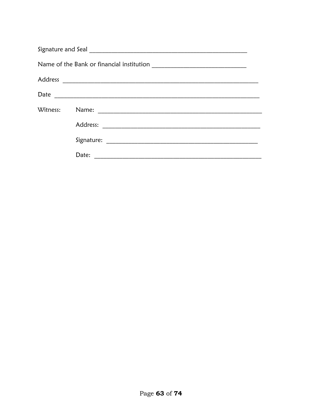| Witness: |       |
|----------|-------|
|          |       |
|          |       |
|          | Date: |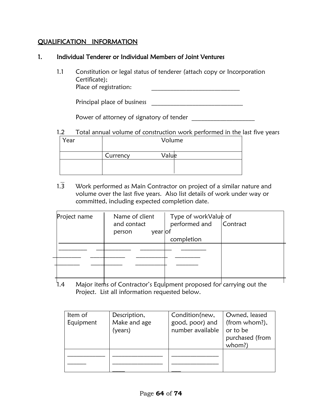#### QUALIFICATION INFORMATION

#### 1. Individual Tenderer or Individual Members of Joint Ventures

1.1 Constitution or legal status of tenderer (attach copy or Incorporation Certificate); Place of registration:

Principal place of business \_\_\_\_\_\_\_\_\_\_\_\_\_\_\_\_\_\_\_\_\_\_\_\_\_\_\_\_\_

Power of attorney of signatory of tender

# 1.2 Total annual volume of construction work performed in the last five years

| Year | Volume   |       |
|------|----------|-------|
|      | Currency | Valuk |
|      |          |       |

 $1.\overline{3}$  Work performed as Main Contractor on project of a similar nature and volume over the last five years. Also list details of work under way or committed, including expected completion date.

| Project name | Name of client<br>and contact<br>year of<br>person | Type of workValue of<br>performed and Contract |  |
|--------------|----------------------------------------------------|------------------------------------------------|--|
|              |                                                    | completion                                     |  |
|              |                                                    |                                                |  |
|              |                                                    |                                                |  |
|              |                                                    |                                                |  |
| .            | - -                                                | $\sim$ $\sim$                                  |  |

1.4 Major items of Contractor's Equipment proposed for carrying out the Project. List all information requested below.

| Item of<br>Equipment | Description,<br>Make and age<br>(years) | Condition(new,<br>good, poor) and<br>number available | Owned, leased<br>(from whom?),<br>or to be |
|----------------------|-----------------------------------------|-------------------------------------------------------|--------------------------------------------|
|                      |                                         |                                                       | purchased (from<br>whom?)                  |
|                      |                                         |                                                       |                                            |
|                      |                                         |                                                       |                                            |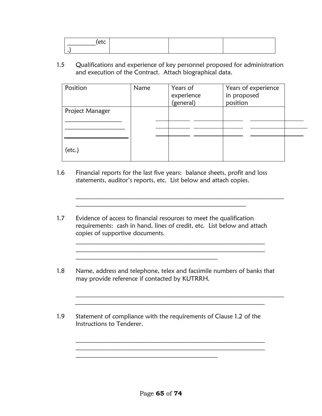| ____________ |  |  |
|--------------|--|--|
|              |  |  |
|              |  |  |
|              |  |  |

1.5 Qualifications and experience of key personnel proposed for administration and execution of the Contract. Attach biographical data.

| Position        | Name | Years of<br>experience<br>(general) | Years of experience<br>in proposed<br>position |  |
|-----------------|------|-------------------------------------|------------------------------------------------|--|
| Project Manager |      |                                     |                                                |  |
| $(\text{etc.})$ |      |                                     |                                                |  |

 $\mathcal{L}_\text{max}$  and  $\mathcal{L}_\text{max}$  and  $\mathcal{L}_\text{max}$  and  $\mathcal{L}_\text{max}$  and  $\mathcal{L}_\text{max}$  and  $\mathcal{L}_\text{max}$ 

- 1.6 Financial reports for the last five years: balance sheets, profit and loss statements, auditor's reports, etc. List below and attach copies.
- 1.7 Evidence of access to financial resources to meet the qualification requirements: cash in hand, lines of credit, etc. List below and attach copies of supportive documents.

\_\_\_\_\_\_\_\_\_\_\_\_\_\_\_\_\_\_\_\_\_\_\_\_\_\_\_\_\_\_\_\_\_\_\_\_\_\_\_\_\_\_\_\_\_

 $\mathcal{L}_\text{max}$  and  $\mathcal{L}_\text{max}$  and  $\mathcal{L}_\text{max}$  and  $\mathcal{L}_\text{max}$  and  $\mathcal{L}_\text{max}$  and  $\mathcal{L}_\text{max}$ 

 $\mathcal{L}_\text{max}$  and  $\mathcal{L}_\text{max}$  and  $\mathcal{L}_\text{max}$  and  $\mathcal{L}_\text{max}$  and  $\mathcal{L}_\text{max}$  and  $\mathcal{L}_\text{max}$ 

1.8 Name, address and telephone, telex and facsimile numbers of banks that may provide reference if contacted by KUTRRH.

 $\mathcal{L}_\text{max}$  and  $\mathcal{L}_\text{max}$  and  $\mathcal{L}_\text{max}$  and  $\mathcal{L}_\text{max}$  and  $\mathcal{L}_\text{max}$  and  $\mathcal{L}_\text{max}$ 

\_\_\_\_\_\_\_\_\_\_\_\_\_\_\_\_\_\_\_\_\_\_\_\_\_\_\_\_\_\_\_\_\_\_\_\_\_\_\_\_\_\_\_\_\_\_\_\_\_\_\_\_\_\_\_\_\_\_\_\_

1.9 Statement of compliance with the requirements of Clause 1.2 of the Instructions to Tenderer.

\_\_\_\_\_\_\_\_\_\_\_\_\_\_\_\_\_\_\_\_\_\_\_\_\_\_\_\_\_\_\_\_\_\_\_\_\_\_\_\_\_\_\_\_\_

 $\mathcal{L}_\text{max}$  and the contract of the contract of the contract of the contract of the contract of the contract of

 $\mathcal{L}_\text{max} = \frac{1}{2} \sum_{i=1}^n \mathcal{L}_\text{max}(\mathbf{z}_i - \mathbf{z}_i)$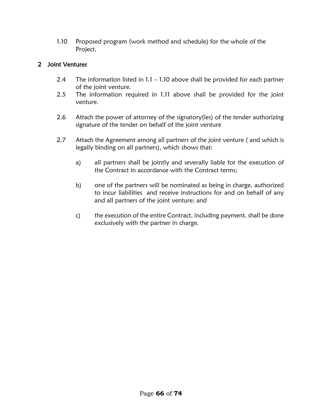1.10 Proposed program (work method and schedule) for the whole of the Project.

# 2 Joint Ventures

- 2.4 The information listed in 1.1 1.10 above shall be provided for each partner of the joint venture.
- 2.5 The information required in 1.11 above shall be provided for the joint venture.
- 2.6 Attach the power of attorney of the signatory(ies) of the tender authorizing signature of the tender on behalf of the joint venture
- 2.7 Attach the Agreement among all partners of the joint venture ( and which is legally binding on all partners), which shows that:
	- a) all partners shall be jointly and severally liable for the execution of the Contract in accordance with the Contract terms;
	- b) one of the partners will be nominated as being in charge, authorized to incur liabilities and receive instructions for and on behalf of any and all partners of the joint venture; and
	- c) the execution of the entire Contract, including payment, shall be done exclusively with the partner in charge.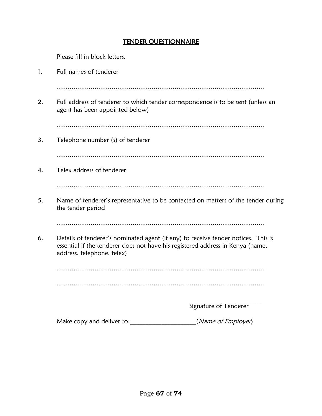#### TENDER QUESTIONNAIRE

Please fill in block letters. 1. Full names of tenderer ……………………………………………………………………………………… 2. Full address of tenderer to which tender correspondence is to be sent (unless an agent has been appointed below) ……………………………………………………………………………………… 3. Telephone number (s) of tenderer ……………………………………………………………………………………… 4. Telex address of tenderer ……………………………………………………………………………………… 5. Name of tenderer's representative to be contacted on matters of the tender during the tender period ……………………………………………………………………………………… 6. Details of tenderer's nominated agent (if any) to receive tender notices. This is essential if the tenderer does not have his registered address in Kenya (name, address, telephone, telex) ……………………………………………………………………………………… ………………………………………………………………………………………  $\mathcal{L}=\mathcal{L}^{\mathcal{L}}$  , where  $\mathcal{L}^{\mathcal{L}}$  , we have the set of the set of the set of the set of the set of the set of the set of the set of the set of the set of the set of the set of the set of the set of the set of Signature of Tenderer Make copy and deliver to: \_\_\_\_\_\_\_\_\_\_\_\_\_\_\_\_\_\_\_\_\_\_(Name of Employer)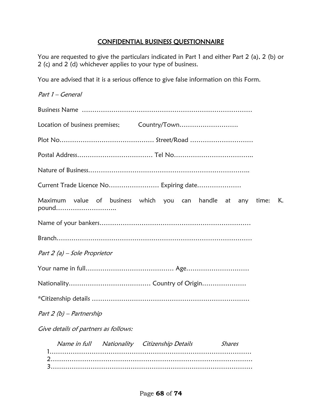### CONFIDENTIAL BUSINESS QUESTIONNAIRE

You are requested to give the particulars indicated in Part 1 and either Part 2 (a), 2 (b) or 2 (c) and 2 (d) whichever applies to your type of business.

You are advised that it is a serious offence to give false information on this Form.

| Part 1 – General                                                              |
|-------------------------------------------------------------------------------|
|                                                                               |
|                                                                               |
|                                                                               |
|                                                                               |
|                                                                               |
| Current Trade Licence No Expiring date                                        |
| Maximum value of business which you can handle at any<br>time:<br>K.<br>pound |
|                                                                               |
|                                                                               |
| Part 2 (a) – Sole Proprietor                                                  |
|                                                                               |
|                                                                               |
|                                                                               |
| Part 2 (b) - Partnership                                                      |
| Give details of partners as follows:                                          |
| Name in full Nationality Citizenship Details<br><b>Shares</b>                 |

 2…………………………………………………………………………………… 3……………………………………………………………………………………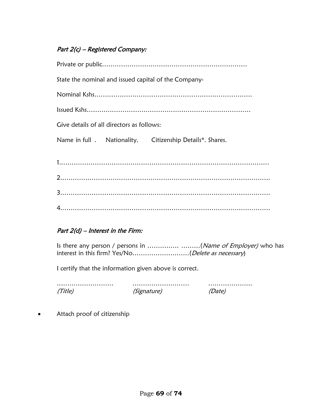# Part 2(c) – Registered Company:

|                                           | State the nominal and issued capital of the Company-      |
|-------------------------------------------|-----------------------------------------------------------|
|                                           |                                                           |
|                                           |                                                           |
| Give details of all directors as follows: |                                                           |
|                                           | Name in full . Nationality. Citizenship Details*. Shares. |
|                                           |                                                           |
|                                           |                                                           |
|                                           |                                                           |
|                                           |                                                           |

# Part 2(d) – Interest in the Firm:

Is there any person / persons in ...........................(Name of Employer) who has interest in this firm? Yes/No………………………(Delete as necessary)

I certify that the information given above is correct.

……………………… ……………………… ………………… (Title) (Signature) (Date)

Attach proof of citizenship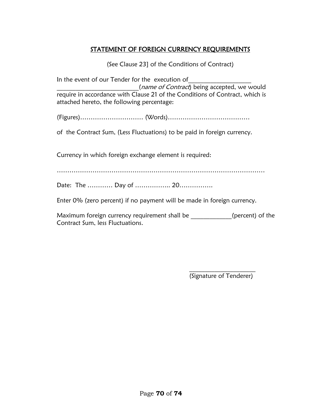# STATEMENT OF FOREIGN CURRENCY REQUIREMENTS

(See Clause 23] of the Conditions of Contract)

In the event of our Tender for the execution of (name of Contract) being accepted, we would require in accordance with Clause 21 of the Conditions of Contract, which is attached hereto, the following percentage:

(Figures)………………………… (Words)…………………………………

of the Contract Sum, (Less Fluctuations) to be paid in foreign currency.

Currency in which foreign exchange element is required:

………………………………………………………………………………………

Date: The ………… Day of …………….. 20…………….

Enter 0% (zero percent) if no payment will be made in foreign currency.

Maximum foreign currency requirement shall be \_ \_ \_ \_ \_ \_\_\_\_\_\_(percent) of the Contract Sum, less Fluctuations.

> $\mathcal{L}=\mathcal{L}^{\mathcal{L}}$ (Signature of Tenderer)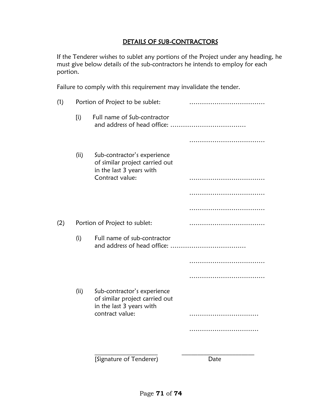# DETAILS OF SUB-CONTRACTORS

If the Tenderer wishes to sublet any portions of the Project under any heading, he must give below details of the sub-contractors he intends to employ for each portion.

Failure to comply with this requirement may invalidate the tender.

| (1) |      | Portion of Project to be sublet:                                                          |      |  |
|-----|------|-------------------------------------------------------------------------------------------|------|--|
|     | [i]  | Full name of Sub-contractor                                                               |      |  |
|     |      |                                                                                           |      |  |
|     | (ii) | Sub-contractor's experience<br>of similar project carried out<br>in the last 3 years with |      |  |
|     |      | Contract value:                                                                           |      |  |
|     |      |                                                                                           |      |  |
|     |      |                                                                                           |      |  |
| (2) |      | Portion of Project to sublet:                                                             |      |  |
|     | (i)  | Full name of sub-contractor                                                               |      |  |
|     |      |                                                                                           |      |  |
|     |      |                                                                                           |      |  |
|     | (ii) | Sub-contractor's experience<br>of similar project carried out<br>in the last 3 years with |      |  |
|     |      | contract value:                                                                           |      |  |
|     |      |                                                                                           |      |  |
|     |      |                                                                                           |      |  |
|     |      | [Signature of Tenderer)                                                                   | Date |  |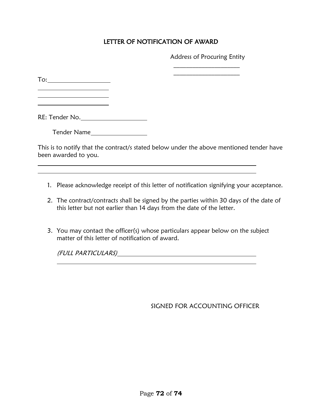# LETTER OF NOTIFICATION OF AWARD

Address of Procuring Entity  $\mathcal{L}=\mathcal{L}^{\mathcal{L}}$ 

 $\mathcal{L}=\mathcal{L}^{\mathcal{L}}$ 

To:

 $\overline{a}$ 

RE: Tender No.

Tender Name

This is to notify that the contract/s stated below under the above mentioned tender have been awarded to you.

- 1. Please acknowledge receipt of this letter of notification signifying your acceptance.
- 2. The contract/contracts shall be signed by the parties within 30 days of the date of this letter but not earlier than 14 days from the date of the letter.
- 3. You may contact the officer(s) whose particulars appear below on the subject matter of this letter of notification of award.

(FULL PARTICULARS)

SIGNED FOR ACCOUNTING OFFICER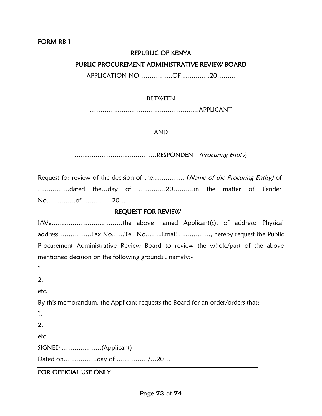## REPUBLIC OF KENYA

### PUBLIC PROCUREMENT ADMINISTRATIVE REVIEW BOARD

APPLICATION NO…………….OF……….….20……...

### BETWEEN

…………………………………………….APPLICANT

### AND

…………………………………RESPONDENT (Procuring Entity)

Request for review of the decision of the…………… (Name of the Procuring Entity) of ……………dated the…day of ………….20……….in the matter of Tender No………..…of …………..20…

# REQUEST FOR REVIEW

I/We……………………………,the above named Applicant(s), of address: Physical address…………….Fax No……Tel. No……..Email ……………, hereby request the Public Procurement Administrative Review Board to review the whole/part of the above mentioned decision on the following grounds , namely:-

1.

2.

etc.

By this memorandum, the Applicant requests the Board for an order/orders that: -

1. 2.

etc

SIGNED ……………….(Applicant)

Dated on…………….day of ……………/…20…

# FOR OFFICIAL USE ONLY